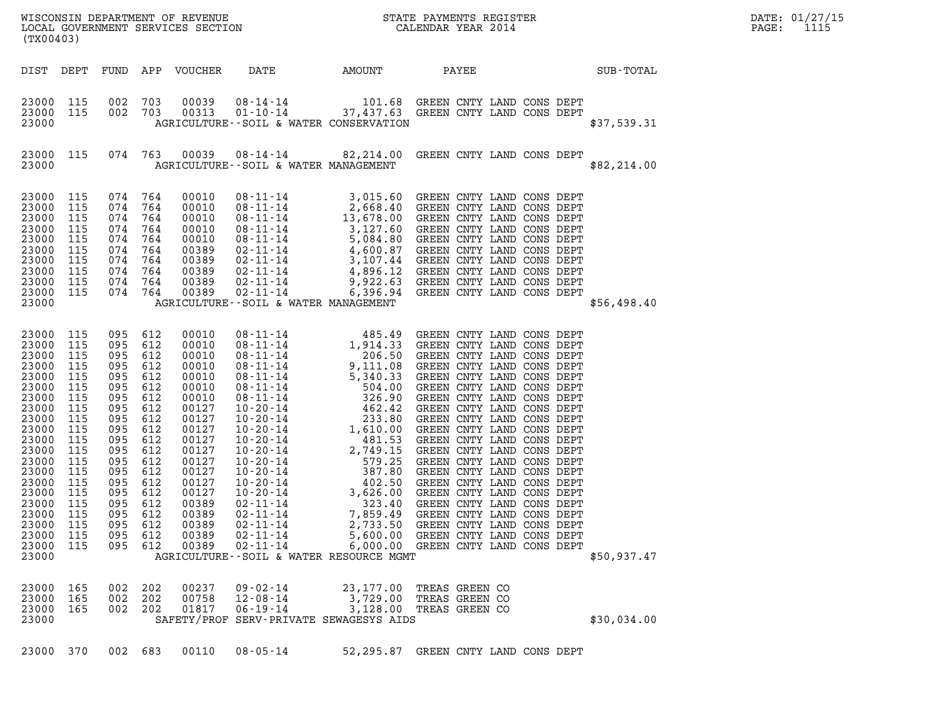|  |  | 23000 370 002 683 00110 08-05-14 | 52,295.87 GREEN CNTY LAND CONS DEPT |  |  |  |
|--|--|----------------------------------|-------------------------------------|--|--|--|
|  |  |                                  |                                     |  |  |  |

| 23000<br>23000<br>23000<br>23000<br>23000 | 115<br>115<br>115<br>115 | 095<br>095<br>095<br>095 | 612<br>612<br>612<br>612 | 00389<br>00389<br>00389<br>00389       | $02 - 11 - 14$<br>$02 - 11 - 14$<br>$02 - 11 - 14$<br>02-11-14 | 7,859.49<br>2,733.50<br>5,600.00<br>6,000.00<br>AGRICULTURE--SOIL & WATER RESOURCE MGMT | GREEN<br>GREEN<br>GREEN<br>GREEN CNTY LAND CONS DEPT | CNTY<br>CNTY | LAND<br>CNTY LAND CONS DEPT<br>LAND | CONS DEPT<br>CONS DEPT | \$50,937.47 |
|-------------------------------------------|--------------------------|--------------------------|--------------------------|----------------------------------------|----------------------------------------------------------------|-----------------------------------------------------------------------------------------|------------------------------------------------------|--------------|-------------------------------------|------------------------|-------------|
| 23000<br>23000<br>23000<br>23000          | 165<br>165<br>165        | 002<br>002<br>002        | 202<br>202<br>202        | 00237<br>00758<br>01817<br>SAFETY/PROF | $09 - 02 - 14$<br>12-08-14<br>$06 - 19 - 14$                   | 23,177.00<br>3,729.00<br>3,128.00<br>SERV-PRIVATE SEWAGESYS AIDS                        | TREAS GREEN CO<br>TREAS GREEN CO<br>TREAS GREEN CO   |              |                                     |                        | \$30,034.00 |
| 23000                                     | 370                      | 002                      | 683                      | 00110                                  | $08 - 05 - 14$                                                 | 52,295.87                                                                               | GREEN CNTY                                           |              | LAND                                | CONS DEPT              |             |

| 25000 | ᆠᅩᆚ | V / ± | 7 O ± | vvviv | $00 - 11 - 14$                               | $J_{1}$ $\perp$ $L$ $\perp$ $\perp$ $\vee$ $\vee$ | GREEN CNII DAND CONS DEFI |  |  |             |
|-------|-----|-------|-------|-------|----------------------------------------------|---------------------------------------------------|---------------------------|--|--|-------------|
| 23000 | 115 | 074   | 764   | 00010 | 08-11-14                                     | 5,084.80                                          | GREEN CNTY LAND CONS DEPT |  |  |             |
| 23000 | 115 | 074   | 764   | 00389 | 02-11-14<br>02-11-14<br>03, 107.44           |                                                   | GREEN CNTY LAND CONS DEPT |  |  |             |
| 23000 | 115 | 074   | 764   | 00389 |                                              |                                                   | GREEN CNTY LAND CONS DEPT |  |  |             |
| 23000 | 115 | 074   | 764   | 00389 |                                              |                                                   | GREEN CNTY LAND CONS DEPT |  |  |             |
| 23000 | 115 | 074   | 764   | 00389 | 02-11-14<br>02-11-14<br>9,922.63             |                                                   | GREEN CNTY LAND CONS DEPT |  |  |             |
| 23000 | 115 | 074   | 764   | 00389 | $02 - 11 - 14$ 6,396.94                      |                                                   | GREEN CNTY LAND CONS DEPT |  |  |             |
| 23000 |     |       |       |       | AGRICULTURE--SOIL & WATER MANAGEMENT         |                                                   |                           |  |  | \$56,498.40 |
|       |     |       |       |       |                                              |                                                   |                           |  |  |             |
|       |     |       |       |       |                                              |                                                   |                           |  |  |             |
| 23000 | 115 | 095   | 612   | 00010 | $08 - 11 - 14$                               | 485.49                                            | GREEN CNTY LAND CONS DEPT |  |  |             |
| 23000 | 115 | 095   | 612   | 00010 | 08-11-14                                     | 1,914.33                                          | GREEN CNTY LAND CONS DEPT |  |  |             |
| 23000 | 115 | 095   | 612   | 00010 | $08 - 11 - 14$                               | 206.50                                            | GREEN CNTY LAND CONS DEPT |  |  |             |
| 23000 | 115 | 095   | 612   | 00010 | $08 - 11 - 14$ 9, 111.08                     |                                                   | GREEN CNTY LAND CONS DEPT |  |  |             |
| 23000 | 115 | 095   | 612   | 00010 | $08 - 11 - 14$                               | 5,340.33                                          | GREEN CNTY LAND CONS DEPT |  |  |             |
| 23000 | 115 | 095   | 612   | 00010 | $08 - 11 - 14$<br>$08 - 11 - 14$             | 504.00                                            | GREEN CNTY LAND CONS DEPT |  |  |             |
| 23000 | 115 | 095   | 612   | 00010 |                                              | 326.90                                            | GREEN CNTY LAND CONS DEPT |  |  |             |
| 23000 | 115 | 095   | 612   | 00127 | 10-20-14                                     | 462.42                                            | GREEN CNTY LAND CONS DEPT |  |  |             |
| 23000 | 115 | 095   | 612   | 00127 | $10 - 20 - 14$                               | 233.80                                            | GREEN CNTY LAND CONS DEPT |  |  |             |
| 23000 | 115 | 095   | 612   | 00127 | $10 - 20 - 14$ 1,610.00                      |                                                   | GREEN CNTY LAND CONS DEPT |  |  |             |
| 23000 | 115 | 095   | 612   | 00127 | $10 - 20 - 14$                               |                                                   | GREEN CNTY LAND CONS DEPT |  |  |             |
| 23000 | 115 | 095   | 612   | 00127 | $10 - 20 - 14$                               | $481.53$<br>2,749.15                              | GREEN CNTY LAND CONS DEPT |  |  |             |
| 23000 | 115 | 095   | 612   | 00127 | 10-20-14                                     | 579.25                                            | GREEN CNTY LAND CONS DEPT |  |  |             |
| 23000 | 115 | 095   | 612   | 00127 | $10 - 20 - 14$                               | 387.80                                            | GREEN CNTY LAND CONS DEPT |  |  |             |
| 23000 | 115 | 095   | 612   | 00127 | $10-20-14$<br>$10-20-14$<br>$3,626.00$       |                                                   | GREEN CNTY LAND CONS DEPT |  |  |             |
| 23000 | 115 | 095   | 612   | 00127 |                                              |                                                   | GREEN CNTY LAND CONS DEPT |  |  |             |
| 23000 | 115 | 095   | 612   | 00389 | 10 - 20 - 14<br>02 - 11 - 14                 | 323.40                                            | GREEN CNTY LAND CONS DEPT |  |  |             |
| 23000 | 115 | 095   | 612   | 00389 |                                              |                                                   | GREEN CNTY LAND CONS DEPT |  |  |             |
| 23000 | 115 | 095   | 612   | 00389 | 02-11-14<br>02-11-14<br>02-11-14<br>2,733.50 |                                                   | GREEN CNTY LAND CONS DEPT |  |  |             |
| 23000 | 115 | 095   | 612   | 00389 | 02-11-14                                     | 5,600.00                                          | GREEN CNTY LAND CONS DEPT |  |  |             |
| 23000 | 115 | 095   | 612   | 00389 | $02 - 11 - 14$ 6,000.00                      |                                                   | GREEN CNTY LAND CONS DEPT |  |  |             |
| 23000 |     |       |       |       | AGRICULTURE--SOIL & WATER RESOURCE MGMT      |                                                   |                           |  |  | \$50.937.47 |

| (TX00403)                                                                              |                                                                    |                                                                    |                                                                    |                                                                                        |                                                                                                                                  |                                                                                                                       |                                                                                                            |                                                                                                      |                                                                                        |                                                              |                                                                                                                                   |
|----------------------------------------------------------------------------------------|--------------------------------------------------------------------|--------------------------------------------------------------------|--------------------------------------------------------------------|----------------------------------------------------------------------------------------|----------------------------------------------------------------------------------------------------------------------------------|-----------------------------------------------------------------------------------------------------------------------|------------------------------------------------------------------------------------------------------------|------------------------------------------------------------------------------------------------------|----------------------------------------------------------------------------------------|--------------------------------------------------------------|-----------------------------------------------------------------------------------------------------------------------------------|
| DIST                                                                                   | DEPT                                                               | FUND                                                               | APP                                                                | <b>VOUCHER</b>                                                                         | DATE                                                                                                                             | AMOUNT                                                                                                                | PAYEE                                                                                                      |                                                                                                      |                                                                                        |                                                              | SUB-TOTAL                                                                                                                         |
| 23000<br>23000<br>23000                                                                | 115<br>115                                                         | 002<br>002                                                         | 703<br>703                                                         | 00039<br>00313                                                                         | 08-14-14<br>$01 - 10 - 14$ 37,437.63<br>AGRICULTURE--SOIL & WATER CONSERVATION                                                   | 101.68                                                                                                                | GREEN CNTY LAND<br>GREEN CNTY LAND CONS DEPT                                                               |                                                                                                      | CONS                                                                                   | DEPT                                                         | \$37,539.31                                                                                                                       |
| 23000<br>23000                                                                         | 115                                                                | 074                                                                | 763                                                                | 00039                                                                                  | 08-14-14<br>AGRICULTURE--SOIL & WATER MANAGEMENT                                                                                 | 82,214.00                                                                                                             | GREEN CNTY LAND CONS DEPT                                                                                  |                                                                                                      |                                                                                        |                                                              | \$82, 214.00                                                                                                                      |
| 23000<br>23000<br>23000<br>23000<br>23000<br>23000<br>23000<br>23000<br>23000<br>23000 | 115<br>115<br>115<br>115<br>115<br>115<br>115<br>115<br>115<br>115 | 074<br>074<br>074<br>074<br>074<br>074<br>074<br>074<br>074<br>074 | 764<br>764<br>764<br>764<br>764<br>764<br>764<br>764<br>764<br>764 | 00010<br>00010<br>00010<br>00010<br>00010<br>00389<br>00389<br>00389<br>00389<br>00389 | 08-11-14<br>08-11-14<br>08-11-14<br>08-11-14<br>08-11-14<br>$02 - 11 - 14$<br>02-11-14<br>02-11-14<br>02-11-14<br>$02 - 11 - 14$ | 3,015.60<br>2,668.40<br>13,678.00<br>3,127.60<br>5,084.80<br>4,600.87<br>3,107.44<br>4,896.12<br>9,922.63<br>6,396.94 | GREEN CNTY LAND<br>GREEN<br>GREEN CNTY LAND<br>GREEN<br>GREEN<br>GREEN<br>GREEN<br>GREEN<br>GREEN<br>GREEN | CNTY LAND<br>CNTY LAND<br>CNTY LAND<br>CNTY LAND<br>CNTY LAND<br>CNTY LAND<br>CNTY LAND<br>CNTY LAND | CONS DEPT<br>CONS<br>CONS<br>CONS<br>CONS<br>CONS<br>CONS<br>CONS<br>CONS<br>CONS DEPT | DEPT<br>DEPT<br>DEPT<br>DEPT<br>DEPT<br>DEPT<br>DEPT<br>DEPT |                                                                                                                                   |
| conce                                                                                  |                                                                    |                                                                    |                                                                    |                                                                                        | ACDICULT TUIDELL COTT C. WATED MANACEMENT                                                                                        |                                                                                                                       |                                                                                                            |                                                                                                      |                                                                                        |                                                              | $\begin{array}{ccccccccc}\n\texttt{d} & \texttt{d} & \texttt{d} & \texttt{d} & \texttt{d} & \texttt{d} & \texttt{d}\n\end{array}$ |

(TX00403)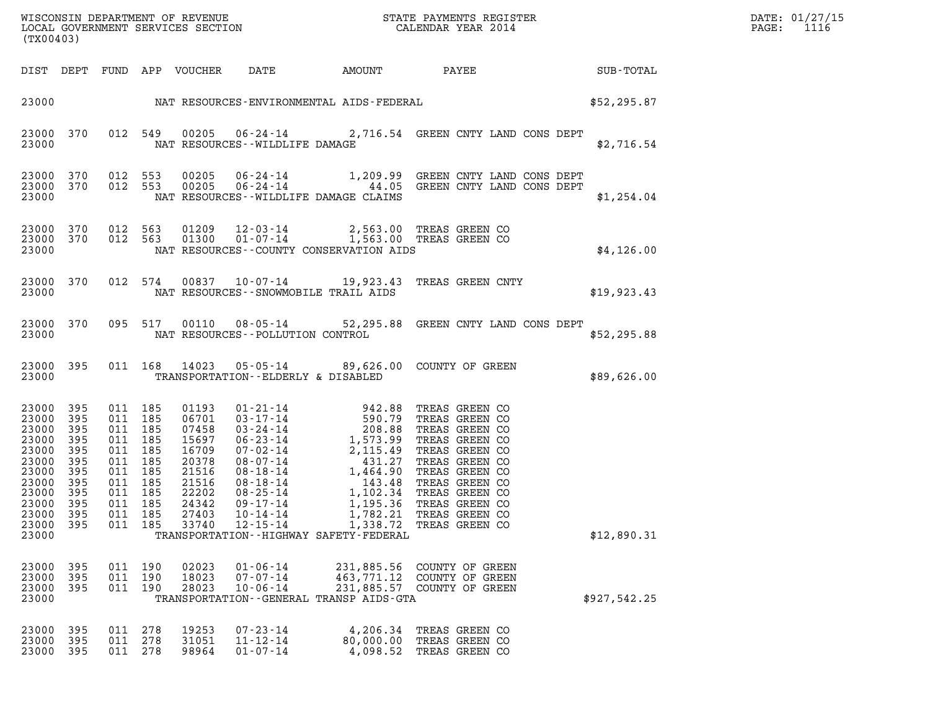| (TX00403)                                                                                                                     |                                                               |                                                                                                                      |                   |                                                                                                          |                                                    |                                                                     | WISCONSIN DEPARTMENT OF REVENUE<br>LOCAL GOVERNMENT SERVICES SECTION<br>(TWO0403)                                                                                                                                                                                                     |              | DATE: 01/27/15<br>$\mathtt{PAGE:}$<br>1116 |  |
|-------------------------------------------------------------------------------------------------------------------------------|---------------------------------------------------------------|----------------------------------------------------------------------------------------------------------------------|-------------------|----------------------------------------------------------------------------------------------------------|----------------------------------------------------|---------------------------------------------------------------------|---------------------------------------------------------------------------------------------------------------------------------------------------------------------------------------------------------------------------------------------------------------------------------------|--------------|--------------------------------------------|--|
|                                                                                                                               |                                                               |                                                                                                                      |                   |                                                                                                          |                                                    |                                                                     | DIST DEPT FUND APP VOUCHER DATE AMOUNT PAYEE SUB-TOTAL                                                                                                                                                                                                                                |              |                                            |  |
|                                                                                                                               |                                                               |                                                                                                                      |                   |                                                                                                          |                                                    |                                                                     | 23000 NAT RESOURCES-ENVIRONMENTAL AIDS-FEDERAL SERIES AND \$52,295.87                                                                                                                                                                                                                 |              |                                            |  |
| 23000                                                                                                                         |                                                               |                                                                                                                      |                   |                                                                                                          | NAT RESOURCES - WILDLIFE DAMAGE                    |                                                                     | 23000 370 012 549 00205 06-24-14 2,716.54 GREEN CNTY LAND CONS DEPT                                                                                                                                                                                                                   |              | \$2,716.54                                 |  |
| 23000                                                                                                                         |                                                               |                                                                                                                      |                   |                                                                                                          |                                                    | NAT RESOURCES--WILDLIFE DAMAGE CLAIMS                               | $\begin{array}{cccccc} 23000 & 370 & 012 & 553 & 00205 & 06-24-14 & & 1,209.99 & \text{GREEN CNTY LAND CONS DEPT} \\ 23000 & 370 & 012 & 553 & 00205 & 06-24-14 & & 44.05 & \text{GREEN CNTY LAND CONS DEPT} \end{array}$                                                             |              | \$1,254.04                                 |  |
| 23000                                                                                                                         |                                                               |                                                                                                                      |                   |                                                                                                          |                                                    |                                                                     | $\begin{array}{cccc} 23000 & 370 & 012 & 563 & 01209 & 12 \cdot 03 \cdot 14 & 2 \, , 563 \, .00 & \text{TREAS GREEN CO} \\ 23000 & 370 & 012 & 563 & 01300 & 01 \cdot 07 \cdot 14 & 1 \, , 563 \, .00 & \text{TREAS GREEN CO} \end{array}$<br>NAT RESOURCES--COUNTY CONSERVATION AIDS | \$4, 126.00  |                                            |  |
|                                                                                                                               |                                                               |                                                                                                                      |                   |                                                                                                          |                                                    | 23000 NAT RESOURCES - SNOWMOBILE TRAIL AIDS                         | 23000 370 012 574 00837 10-07-14 19,923.43 TREAS GREEN CNTY                                                                                                                                                                                                                           | \$19,923.43  |                                            |  |
|                                                                                                                               |                                                               |                                                                                                                      |                   |                                                                                                          |                                                    | 23000 NAT RESOURCES - POLLUTION CONTROL                             | 23000 370 095 517 00110 08-05-14 52,295.88 GREEN CNTY LAND CONS DEPT                                                                                                                                                                                                                  | \$52,295.88  |                                            |  |
|                                                                                                                               |                                                               |                                                                                                                      |                   |                                                                                                          |                                                    | 23000 TRANSPORTATION - - ELDERLY & DISABLED                         | 23000 395 011 168 14023 05-05-14 89,626.00 COUNTY OF GREEN                                                                                                                                                                                                                            | \$89,626.00  |                                            |  |
| 23000<br>23000<br>23000<br>23000<br>23000<br>23000<br>23000<br>23000 395<br>23000 395<br>23000 395<br>23000<br>23000<br>23000 | 395<br>395<br>395<br>395<br>395<br>395<br>395<br>395<br>- 395 | 011 185<br>011 185<br>011 185<br>011 185<br>011<br>011 185<br>011 185<br>011 185<br>011 185<br>011 185<br>011<br>011 | 185<br>185<br>185 | 01193<br>06701<br>07458<br>15697<br>16709<br>20378<br>21516<br>21516<br>22202<br>24342<br>27403<br>33740 | $10 - 14 - 14$<br>$12 - 15 - 14$                   | 1,782.21<br>1,338.72<br>TRANSPORTATION - - HIGHWAY SAFETY - FEDERAL | 01-21-14 942.88 TREAS GREEN CO<br>03-17-14 590.79 TREAS GREEN CO<br>03-24-14 208.88 TREAS GREEN CO<br>06-23-14 1,573.99 TREAS GREEN CO<br>07-02-14 2,115.49 TREAS GREEN CO<br>08-07-14 431.27 TREAS GREEN CO<br>08-18-14 1,464.90 TREAS GR<br>TREAS GREEN CO<br>TREAS GREEN CO        |              | \$12,890.31                                |  |
| 23000<br>23000<br>23000<br>23000                                                                                              | 395<br>395<br>395                                             | 011<br>011<br>011                                                                                                    | 190<br>190<br>190 | 02023<br>18023<br>28023                                                                                  | $01 - 06 - 14$<br>$07 - 07 - 14$<br>$10 - 06 - 14$ | 463,771.12<br>TRANSPORTATION - - GENERAL TRANSP AIDS - GTA          | 231,885.56 COUNTY OF GREEN<br>COUNTY OF GREEN<br>231,885.57 COUNTY OF GREEN                                                                                                                                                                                                           | \$927,542.25 |                                            |  |
| 23000<br>23000<br>23000                                                                                                       | 395<br>395<br>395                                             | 011<br>011<br>011                                                                                                    | 278<br>278<br>278 | 19253<br>31051<br>98964                                                                                  | $07 - 23 - 14$<br>$11 - 12 - 14$<br>$01 - 07 - 14$ | 4,206.34<br>80,000.00<br>4,098.52                                   | TREAS GREEN CO<br>TREAS GREEN CO<br>TREAS GREEN CO                                                                                                                                                                                                                                    |              |                                            |  |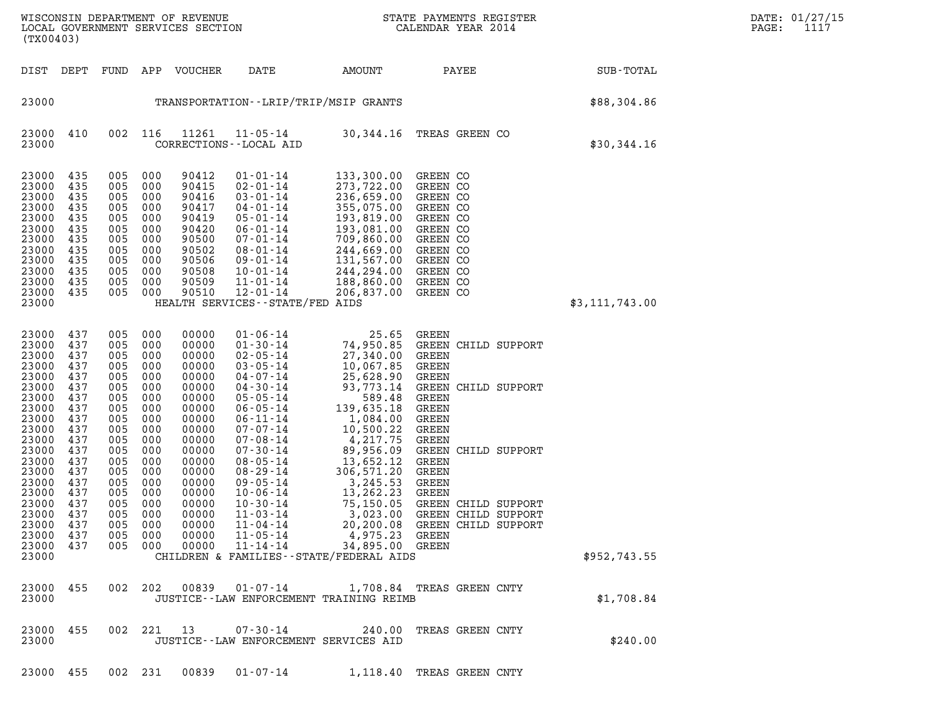| (TX00403)                                                                                                                                                                                          |                                                                                                                                                 |                                                                                                                                                 |                                                                                                                                                 | WISCONSIN DEPARTMENT OF REVENUE<br>LOCAL GOVERNMENT SERVICES SECTION                                                                                                                      | $\mathbf N$                                                                                                                                                                                                                                                                                                                                                                |                                                                                                                                                                                                                                                                                                            | STATE PAYMENTS REGISTER<br>CALENDAR YEAR 2014                                                                                                                                                                                                                                         |                  | DATE: 01/27/15<br>PAGE:<br>1117 |
|----------------------------------------------------------------------------------------------------------------------------------------------------------------------------------------------------|-------------------------------------------------------------------------------------------------------------------------------------------------|-------------------------------------------------------------------------------------------------------------------------------------------------|-------------------------------------------------------------------------------------------------------------------------------------------------|-------------------------------------------------------------------------------------------------------------------------------------------------------------------------------------------|----------------------------------------------------------------------------------------------------------------------------------------------------------------------------------------------------------------------------------------------------------------------------------------------------------------------------------------------------------------------------|------------------------------------------------------------------------------------------------------------------------------------------------------------------------------------------------------------------------------------------------------------------------------------------------------------|---------------------------------------------------------------------------------------------------------------------------------------------------------------------------------------------------------------------------------------------------------------------------------------|------------------|---------------------------------|
| DIST DEPT                                                                                                                                                                                          |                                                                                                                                                 | FUND                                                                                                                                            |                                                                                                                                                 | APP VOUCHER                                                                                                                                                                               | DATE                                                                                                                                                                                                                                                                                                                                                                       | AMOUNT                                                                                                                                                                                                                                                                                                     | PAYEE                                                                                                                                                                                                                                                                                 | SUB-TOTAL        |                                 |
| 23000                                                                                                                                                                                              |                                                                                                                                                 |                                                                                                                                                 |                                                                                                                                                 |                                                                                                                                                                                           | TRANSPORTATION - - LRIP/TRIP/MSIP GRANTS                                                                                                                                                                                                                                                                                                                                   |                                                                                                                                                                                                                                                                                                            |                                                                                                                                                                                                                                                                                       | \$88,304.86      |                                 |
| 23000<br>23000                                                                                                                                                                                     | 410                                                                                                                                             | 002 116                                                                                                                                         |                                                                                                                                                 | 11261                                                                                                                                                                                     | $11 - 05 - 14$<br>CORRECTIONS - - LOCAL AID                                                                                                                                                                                                                                                                                                                                |                                                                                                                                                                                                                                                                                                            | 30,344.16 TREAS GREEN CO                                                                                                                                                                                                                                                              | \$30,344.16      |                                 |
| 23000<br>23000<br>23000<br>23000<br>23000<br>23000<br>23000<br>23000<br>23000<br>23000<br>23000<br>23000<br>23000                                                                                  | 435<br>435<br>435<br>435<br>435<br>435<br>435<br>435<br>435<br>435<br>435<br>435                                                                | 005<br>005<br>005<br>005<br>005<br>005<br>005<br>005<br>005<br>005<br>005<br>005                                                                | 000<br>000<br>000<br>000<br>000<br>000<br>000<br>000<br>000<br>000<br>000<br>000                                                                | 90412<br>90415<br>90416<br>90417<br>90419<br>90420<br>90500<br>90502<br>90506<br>90508<br>90509<br>90510                                                                                  | $01 - 01 - 14$<br>$02 - 01 - 14$<br>$03 - 01 - 14$<br>$04 - 01 - 14$<br>$05 - 01 - 14$<br>$06 - 01 - 14$<br>$07 - 01 - 14$<br>$08 - 01 - 14$<br>$09 - 01 - 14$<br>$10 - 01 - 14$<br>$11 - 01 - 14$<br>$12 - 01 - 14$<br>HEALTH SERVICES - - STATE/FED AIDS                                                                                                                 | 133,300.00<br>273,722.00<br>236,659.00<br>355,075.00<br>193,819.00<br>193,081.00<br>709,860.00<br>244,669.00<br>131,567.00<br>244,294.00<br>188,860.00<br>206,837.00                                                                                                                                       | GREEN CO<br>GREEN CO<br>GREEN CO<br>GREEN CO<br>GREEN CO<br>GREEN CO<br>GREEN CO<br>GREEN CO<br>GREEN CO<br>GREEN CO<br>GREEN CO<br>GREEN CO                                                                                                                                          | \$3, 111, 743.00 |                                 |
| 23000<br>23000<br>23000<br>23000<br>23000<br>23000<br>23000<br>23000<br>23000<br>23000<br>23000<br>23000<br>23000<br>23000<br>23000<br>23000<br>23000<br>23000<br>23000<br>23000<br>23000<br>23000 | 437<br>437<br>437<br>437<br>437<br>437<br>437<br>437<br>437<br>437<br>437<br>437<br>437<br>437<br>437<br>437<br>437<br>437<br>437<br>437<br>437 | 005<br>005<br>005<br>005<br>005<br>005<br>005<br>005<br>005<br>005<br>005<br>005<br>005<br>005<br>005<br>005<br>005<br>005<br>005<br>005<br>005 | 000<br>000<br>000<br>000<br>000<br>000<br>000<br>000<br>000<br>000<br>000<br>000<br>000<br>000<br>000<br>000<br>000<br>000<br>000<br>000<br>000 | 00000<br>00000<br>00000<br>00000<br>00000<br>00000<br>00000<br>00000<br>00000<br>00000<br>00000<br>00000<br>00000<br>00000<br>00000<br>00000<br>00000<br>00000<br>00000<br>00000<br>00000 | $01 - 06 - 14$<br>$01 - 30 - 14$<br>$02 - 05 - 14$<br>$03 - 05 - 14$<br>04-07-14<br>04-30-14<br>$05 - 05 - 14$<br>$06 - 05 - 14$<br>$06 - 11 - 14$<br>$07 - 07 - 14$<br>$07 - 08 - 14$<br>$07 - 30 - 14$<br>$08 - 05 - 14$<br>$08 - 29 - 14$<br>$09 - 05 - 14$<br>$10 - 06 - 14$<br>$10 - 30 - 14$<br>$11 - 03 - 14$<br>$11 - 04 - 14$<br>$11 - 05 - 14$<br>$11 - 14 - 14$ | 25.65<br>74,950.85<br>27,340.00<br>10,067.85<br>25,628.90<br>93,773.14<br>589.48<br>139,635.18<br>1,084.00<br>10,500.22<br>4,217.75<br>89,956.09<br>13,652.12<br>306,571.20<br>3,245.53<br>13,262.23<br>75,150.05<br>3,023.00<br>4,975.23<br>34,895.00 GREEN<br>CHILDREN & FAMILIES - - STATE/FEDERAL AIDS | GREEN<br>GREEN CHILD SUPPORT<br>GREEN<br><b>GREEN</b><br>GREEN<br>GREEN CHILD SUPPORT<br>GREEN<br>GREEN<br>GREEN<br>GREEN<br>GREEN<br>GREEN CHILD SUPPORT<br>GREEN<br>GREEN<br>GREEN<br>GREEN<br>GREEN CHILD SUPPORT<br>GREEN CHILD SUPPORT<br>20,200.08 GREEN CHILD SUPPORT<br>GREEN | \$952,743.55     |                                 |
| 23000<br>23000                                                                                                                                                                                     | 455                                                                                                                                             | 002                                                                                                                                             | 202                                                                                                                                             | 00839                                                                                                                                                                                     | $01 - 07 - 14$                                                                                                                                                                                                                                                                                                                                                             | JUSTICE--LAW ENFORCEMENT TRAINING REIMB                                                                                                                                                                                                                                                                    | 1,708.84 TREAS GREEN CNTY                                                                                                                                                                                                                                                             | \$1,708.84       |                                 |
| 23000 455<br>23000                                                                                                                                                                                 |                                                                                                                                                 | 002 221                                                                                                                                         |                                                                                                                                                 | 13                                                                                                                                                                                        | 07-30-14<br>JUSTICE--LAW ENFORCEMENT SERVICES AID                                                                                                                                                                                                                                                                                                                          | 240.00                                                                                                                                                                                                                                                                                                     | TREAS GREEN CNTY                                                                                                                                                                                                                                                                      | \$240.00         |                                 |

23000 455 002 231 00839 01-07-14 1,118.40 TREAS GREEN CNTY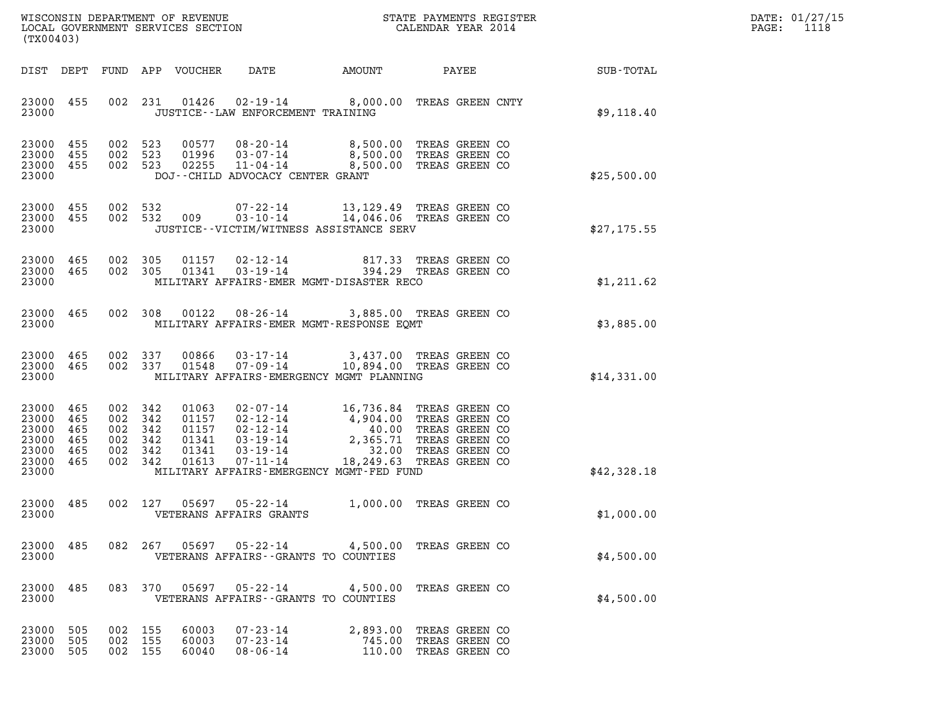| DATE: | 01/27/15 |
|-------|----------|
| PAGE: | 1118     |

| (TX00403)                                                                                          | ${\tt WISCOONSIM} \begin{tabular}{lcccc} \texttt{WE} & \texttt{WE} & \texttt{WE} & \texttt{WIC} & \texttt{WIC} & \texttt{S} \\ \texttt{NOCAL GOVERNMENT} \begin{tabular}{lcccc} \texttt{SE} & \texttt{RECTS} & \texttt{RECTION} & \texttt{S} & \texttt{CALENDAR} & \texttt{YEAR} & 2014 \\ \end{tabular} \end{tabular}$                                                                                 | DATE: 01/27/15<br>PAGE: 1118 |
|----------------------------------------------------------------------------------------------------|---------------------------------------------------------------------------------------------------------------------------------------------------------------------------------------------------------------------------------------------------------------------------------------------------------------------------------------------------------------------------------------------------------|------------------------------|
| DIST DEPT                                                                                          | DATE<br>FUND APP VOUCHER<br>AMOUNT<br>PAYEE<br>SUB-TOTAL                                                                                                                                                                                                                                                                                                                                                |                              |
| 23000 455<br>23000                                                                                 | 01426  02-19-14  8,000.00 TREAS GREEN CNTY<br>002 231<br>JUSTICE - - LAW ENFORCEMENT TRAINING<br>\$9,118.40                                                                                                                                                                                                                                                                                             |                              |
| 23000 455<br>23000<br>455<br>23000 455<br>23000                                                    | 08-20-14 8,500.00 TREAS GREEN CO<br>03-07-14 8,500.00 TREAS GREEN CO<br>002 523<br>00577<br>002 523<br>01996<br>002 523 02255<br>$11 - 04 - 14$<br>8,500.00 TREAS GREEN CO<br>DOJ--CHILD ADVOCACY CENTER GRANT<br>\$25,500.00                                                                                                                                                                           |                              |
| 23000 455<br>23000 455<br>23000                                                                    | 002 532<br>07-22-14 13,129.49 TREAS GREEN CO<br>14,046.06 TREAS GREEN CO<br>002 532 009<br>$03 - 10 - 14$<br>JUSTICE - - VICTIM/WITNESS ASSISTANCE SERV<br>\$27,175.55                                                                                                                                                                                                                                  |                              |
| 23000 465<br>23000 465<br>23000                                                                    | 002 305 01157 02-12-14 817.33 TREAS GREEN CO 002 305 01341 03-19-14 394.29 TREAS GREEN CO<br>MILITARY AFFAIRS-EMER MGMT-DISASTER RECO<br>\$1,211.62                                                                                                                                                                                                                                                     |                              |
| 23000 465<br>23000                                                                                 | 002 308 00122 08-26-14 3,885.00 TREAS GREEN CO<br>MILITARY AFFAIRS-EMER MGMT-RESPONSE EOMT<br>\$3,885.00                                                                                                                                                                                                                                                                                                |                              |
| 23000 465<br>23000 465<br>23000                                                                    | 00866  03-17-14  3,437.00 TREAS GREEN CO<br>01548  07-09-14  10,894.00 TREAS GREEN CO<br>002 337<br>002 337<br>MILITARY AFFAIRS-EMERGENCY MGMT PLANNING<br>\$14,331.00                                                                                                                                                                                                                                  |                              |
| 23000<br>465<br>23000<br>465<br>23000<br>465<br>23000<br>465<br>23000<br>465<br>23000 465<br>23000 | 002 342<br>01063<br>02-07-14 16,736.84 TREAS GREEN CO<br>02-12-14 4,904.00 TREAS GREEN CO<br>02-12-14 40.00 TREAS GREEN CO<br>03-19-14 2,365.71 TREAS GREEN CO<br>03-19-14 18,249.63 TREAS GREEN CO<br>07-11-14 18,249.63 TREAS GREEN CO<br>002 342<br>01157<br>002 342<br>01157<br>002 342<br>01341<br>002 342<br>01341<br>002 342<br>01613<br>MILITARY AFFAIRS-EMERGENCY MGMT-FED FUND<br>\$42,328.18 |                              |
| 23000 485<br>23000                                                                                 | 002 127<br>05697<br>05-22-14<br>1,000.00 TREAS GREEN CO<br>\$1,000.00<br>VETERANS AFFAIRS GRANTS                                                                                                                                                                                                                                                                                                        |                              |
| 23000<br>485<br>23000                                                                              | 082  267  05697  05-22-14  4,500.00 TREAS GREEN CO<br>VETERANS AFFAIRS -- GRANTS TO COUNTIES<br>\$4,500.00                                                                                                                                                                                                                                                                                              |                              |
| 23000<br>485<br>23000                                                                              | 083 370 05697 05-22-14 4,500.00 TREAS GREEN CO<br>VETERANS AFFAIRS -- GRANTS TO COUNTIES<br>\$4,500.00                                                                                                                                                                                                                                                                                                  |                              |
| 23000<br>505<br>23000<br>505<br>23000<br>505                                                       | 002 155<br>60003<br>07-23-14<br>2,893.00 TREAS GREEN CO<br>$07 - 23 - 14$<br>002 155<br>60003<br>745.00 TREAS GREEN CO<br>002 155<br>60040<br>$08 - 06 - 14$<br>110.00 TREAS GREEN CO                                                                                                                                                                                                                   |                              |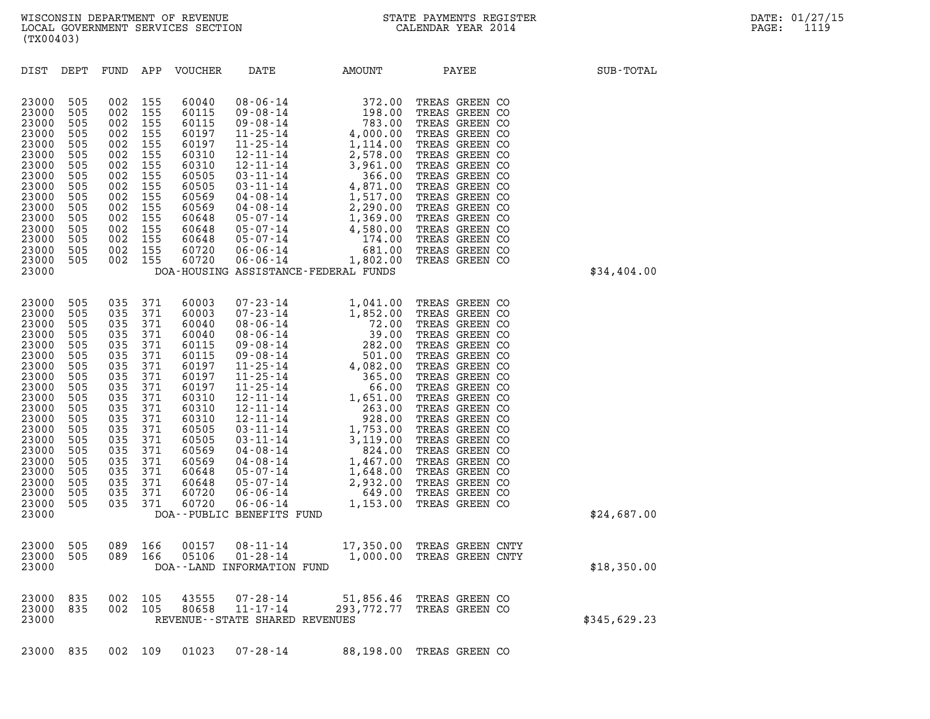| (TX00403)                                                                                                                                                                                 |                                                                                                                                          |                                                                                                                                          |                                                                                                                                          |                                                                                                                                                                                  |                                                                                                                                                                                                                                                                                                                                                                                                     |              |                                                                                                                                                                                                                                                                                                                                                                      |              |
|-------------------------------------------------------------------------------------------------------------------------------------------------------------------------------------------|------------------------------------------------------------------------------------------------------------------------------------------|------------------------------------------------------------------------------------------------------------------------------------------|------------------------------------------------------------------------------------------------------------------------------------------|----------------------------------------------------------------------------------------------------------------------------------------------------------------------------------|-----------------------------------------------------------------------------------------------------------------------------------------------------------------------------------------------------------------------------------------------------------------------------------------------------------------------------------------------------------------------------------------------------|--------------|----------------------------------------------------------------------------------------------------------------------------------------------------------------------------------------------------------------------------------------------------------------------------------------------------------------------------------------------------------------------|--------------|
| DIST                                                                                                                                                                                      | DEPT                                                                                                                                     | FUND APP                                                                                                                                 |                                                                                                                                          | VOUCHER                                                                                                                                                                          | DATE                                                                                                                                                                                                                                                                                                                                                                                                | AMOUNT PAYEE |                                                                                                                                                                                                                                                                                                                                                                      | SUB-TOTAL    |
| 23000<br>23000<br>23000<br>23000<br>23000<br>23000<br>23000<br>23000<br>23000<br>23000<br>23000<br>23000<br>23000<br>23000<br>23000<br>23000<br>23000                                     | 505<br>505<br>505<br>505<br>505<br>505<br>505<br>505<br>505<br>505<br>505<br>505<br>505<br>505<br>505<br>505                             | 002<br>002<br>002<br>002<br>002<br>002<br>002<br>002<br>002<br>002<br>002<br>002<br>002<br>002<br>002<br>002                             | 155<br>155<br>155<br>155<br>155<br>155<br>155<br>155<br>155<br>155<br>155<br>155<br>155<br>155<br>155<br>155                             | 60040<br>60115<br>60115<br>60197<br>60197<br>60310<br>60310<br>60505<br>60505<br>60569<br>60569<br>60648<br>60648<br>60648<br>60720<br>60720                                     | $\begin{array}{cccc} 08\text{-}06\text{-}14 & 372.00 \\ 09\text{-}08\text{-}14 & 198.00 \\ 09\text{-}08\text{-}14 & 783.00 \\ 11\text{-}25\text{-}14 & 4,000.00 \\ 11\text{-}25\text{-}14 & 1,114.00 \\ 12\text{-}11\text{-}14 & 2,578.00 \\ 12\text{-}11\text{-}14 & 3,961.00 \\ 03\text{-}11\text{-}14 & 4,871.00 \\ 04\text{-}08\text$<br>$05 - 07 - 14$<br>DOA-HOUSING ASSISTANCE-FEDERAL FUNDS |              | TREAS GREEN CO<br>TREAS GREEN CO<br>TREAS GREEN CO<br>TREAS GREEN CO<br>TREAS GREEN CO<br>TREAS GREEN CO<br>TREAS GREEN CO<br>TREAS GREEN CO<br>TREAS GREEN CO<br>TREAS GREEN CO<br>TREAS GREEN CO<br>TREAS GREEN CO<br>TREAS GREEN CO<br>TREAS GREEN CO<br>TREAS GREEN CO<br>TREAS GREEN CO                                                                         | \$34,404.00  |
| 23000<br>23000<br>23000<br>23000<br>23000<br>23000<br>23000<br>23000<br>23000<br>23000<br>23000<br>23000<br>23000<br>23000<br>23000<br>23000<br>23000<br>23000<br>23000<br>23000<br>23000 | 505<br>505<br>505<br>505<br>505<br>505<br>505<br>505<br>505<br>505<br>505<br>505<br>505<br>505<br>505<br>505<br>505<br>505<br>505<br>505 | 035<br>035<br>035<br>035<br>035<br>035<br>035<br>035<br>035<br>035<br>035<br>035<br>035<br>035<br>035<br>035<br>035<br>035<br>035<br>035 | 371<br>371<br>371<br>371<br>371<br>371<br>371<br>371<br>371<br>371<br>371<br>371<br>371<br>371<br>371<br>371<br>371<br>371<br>371<br>371 | 60003<br>60003<br>60040<br>60040<br>60115<br>60115<br>60197<br>60197<br>60197<br>60310<br>60310<br>60310<br>60505<br>60505<br>60569<br>60569<br>60648<br>60648<br>60720<br>60720 | $\begin{array}{cccc} 07\text{-}23\text{-}14 & 1,041.00 \\ 07\text{-}23\text{-}14 & 1,852.00 \\ 08\text{-}06\text{-}14 & 72.00 \\ 08\text{-}06\text{-}14 & 39.00 \\ 09\text{-}08\text{-}14 & 282.00 \\ 09\text{-}08\text{-}14 & 282.00 \\ 11\text{-}25\text{-}14 & 4,082.00 \\ 11\text{-}25\text{-}14 & 501.00 \\ 12\text{-}11\text{-}14 & $<br>DOA--PUBLIC BENEFITS FUND                            |              | TREAS GREEN CO<br>TREAS GREEN CO<br>TREAS GREEN CO<br>TREAS GREEN CO<br>TREAS GREEN CO<br>TREAS GREEN CO<br>TREAS GREEN CO<br>TREAS GREEN CO<br>TREAS GREEN CO<br>TREAS GREEN CO<br>TREAS GREEN CO<br>TREAS GREEN CO<br>TREAS GREEN CO<br>TREAS GREEN CO<br>TREAS GREEN CO<br>TREAS GREEN CO<br>TREAS GREEN CO<br>TREAS GREEN CO<br>TREAS GREEN CO<br>TREAS GREEN CO | \$24,687.00  |
| 23000<br>23000<br>23000                                                                                                                                                                   | 505<br>505                                                                                                                               | 089 166<br>089 166                                                                                                                       |                                                                                                                                          | 00157<br>05106                                                                                                                                                                   | DOA--LAND INFORMATION FUND                                                                                                                                                                                                                                                                                                                                                                          |              | 08-11-14 17,350.00 TREAS GREEN CNTY<br>01-28-14 1,000.00 TREAS GREEN CNTY                                                                                                                                                                                                                                                                                            | \$18,350.00  |
| 23000<br>23000<br>23000                                                                                                                                                                   | 835<br>835                                                                                                                               | 002 105<br>002                                                                                                                           | 105                                                                                                                                      | 43555<br>80658                                                                                                                                                                   | 07-28-14<br>11-17-14<br>REVENUE - - STATE SHARED REVENUES                                                                                                                                                                                                                                                                                                                                           |              | 51,856.46 TREAS GREEN CO<br>293,772.77 TREAS GREEN CO                                                                                                                                                                                                                                                                                                                | \$345,629.23 |

23000 835 002 109 01023 07-28-14 88,198.00 TREAS GREEN CO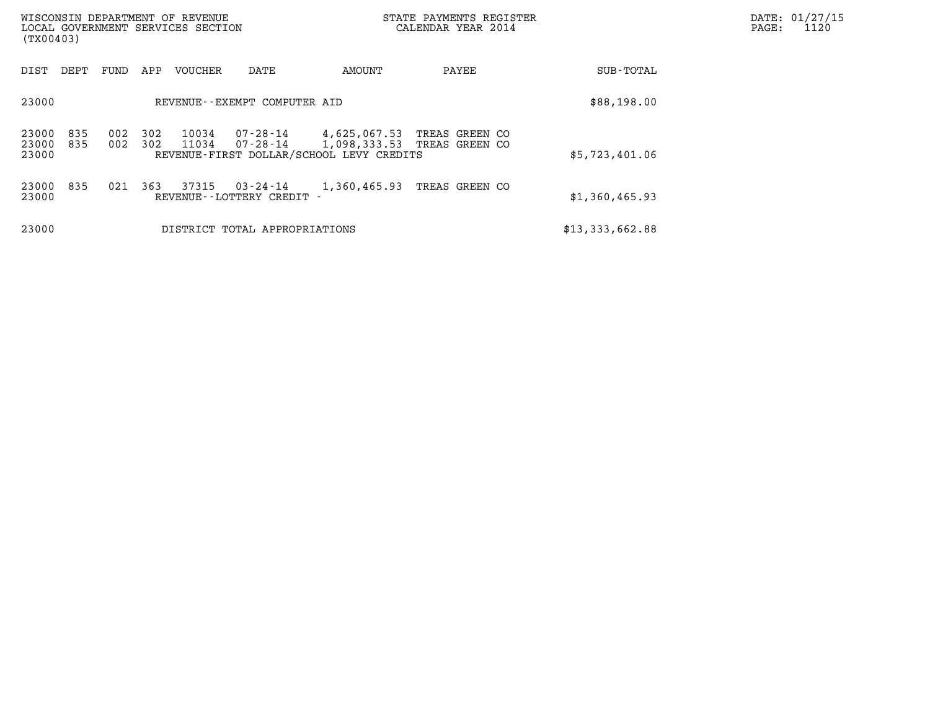| WISCONSIN DEPARTMENT OF REVENUE<br>LOCAL GOVERNMENT SERVICES SECTION<br>(TX00403) |            |            |                |                                     |                                                          | STATE PAYMENTS REGISTER<br>CALENDAR YEAR 2014 |                 | DATE: 01/27/15<br>PAGE:<br>1120 |
|-----------------------------------------------------------------------------------|------------|------------|----------------|-------------------------------------|----------------------------------------------------------|-----------------------------------------------|-----------------|---------------------------------|
| DIST<br>DEPT                                                                      | FUND       | APP        | VOUCHER        | DATE                                | AMOUNT                                                   | PAYEE                                         | SUB-TOTAL       |                                 |
| 23000                                                                             |            |            |                | REVENUE--EXEMPT COMPUTER AID        |                                                          |                                               | \$88,198.00     |                                 |
| 23000<br>835<br>23000<br>835<br>23000                                             | 002<br>002 | 302<br>302 | 10034<br>11034 | 07-28-14<br>07-28-14                | 4,625,067.53<br>REVENUE-FIRST DOLLAR/SCHOOL LEVY CREDITS | TREAS GREEN CO<br>1,098,333.53 TREAS GREEN CO | \$5,723,401.06  |                                 |
| 23000<br>835<br>23000                                                             | 021        | 363        | 37315          | 03-24-14<br>REVENUE--LOTTERY CREDIT | 1,360,465.93                                             | TREAS GREEN CO                                | \$1,360,465.93  |                                 |
| 23000                                                                             |            |            |                | DISTRICT TOTAL APPROPRIATIONS       |                                                          |                                               | \$13,333,662.88 |                                 |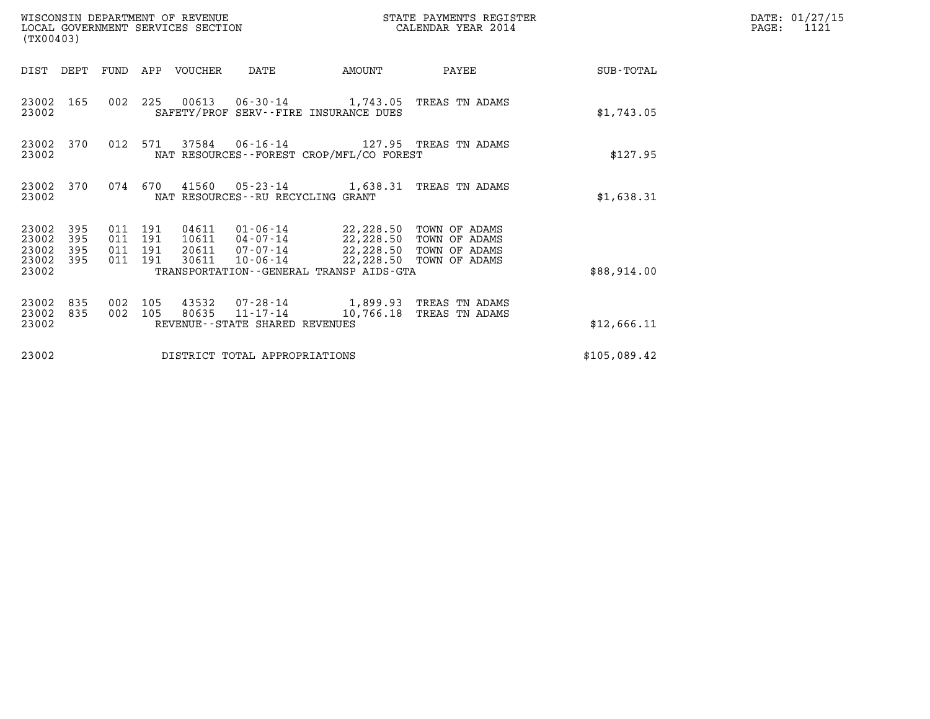| (TX00403)                                 |                          |                                  |            | WISCONSIN DEPARTMENT OF REVENUE<br>LOCAL GOVERNMENT SERVICES SECTION |                                   |                                                                                                                                                                   | STATE PAYMENTS REGISTER<br>CALENDAR YEAR 2014 |              | DATE: 01/27/15<br>$\mathtt{PAGE}$ :<br>1121 |
|-------------------------------------------|--------------------------|----------------------------------|------------|----------------------------------------------------------------------|-----------------------------------|-------------------------------------------------------------------------------------------------------------------------------------------------------------------|-----------------------------------------------|--------------|---------------------------------------------|
|                                           |                          |                                  |            | DIST DEPT FUND APP VOUCHER                                           | DATE                              | AMOUNT                                                                                                                                                            | PAYEE                                         | SUB-TOTAL    |                                             |
| 23002                                     | 23002 165                |                                  |            |                                                                      |                                   | 002 225 00613 06-30-14 1,743.05 TREAS TN ADAMS<br>SAFETY/PROF SERV--FIRE INSURANCE DUES                                                                           |                                               | \$1,743.05   |                                             |
| 23002                                     | 23002 370                | 012 571                          |            |                                                                      |                                   | 37584   06-16-14   127.95   TREAS TN ADAMS<br>NAT RESOURCES - - FOREST CROP/MFL/CO FOREST                                                                         |                                               | \$127.95     |                                             |
| 23002                                     | 23002 370                | 074 670                          |            |                                                                      | NAT RESOURCES--RU RECYCLING GRANT | 41560  05-23-14   1,638.31 TREAS TN ADAMS                                                                                                                         |                                               | \$1,638.31   |                                             |
| 23002<br>23002<br>23002<br>23002<br>23002 | 395<br>395<br>395<br>395 | 011 191<br>011<br>011<br>011 191 | 191<br>191 | 30611                                                                | 20611 07-07-14<br>10-06-14        | 04611  01-06-14  22,228.50  TOWN OF ADAMS<br>10611  04-07-14  22,228.50  TOWN OF ADAMS<br>22,228.50 TOWN OF ADAMS<br>TRANSPORTATION - - GENERAL TRANSP AIDS - GTA | 22,228.50 TOWN OF ADAMS                       | \$88,914.00  |                                             |
| 23002<br>23002<br>23002                   | 835<br>835               | 002<br>002                       | 105<br>105 | 80635                                                                | REVENUE--STATE SHARED REVENUES    | 43532 07-28-14 1,899.93 TREAS TN ADAMS<br>11-17-14 10,766.18 TREAS TN ADAMS                                                                                       |                                               | \$12,666.11  |                                             |
| 23002                                     |                          |                                  |            |                                                                      | DISTRICT TOTAL APPROPRIATIONS     |                                                                                                                                                                   |                                               | \$105,089.42 |                                             |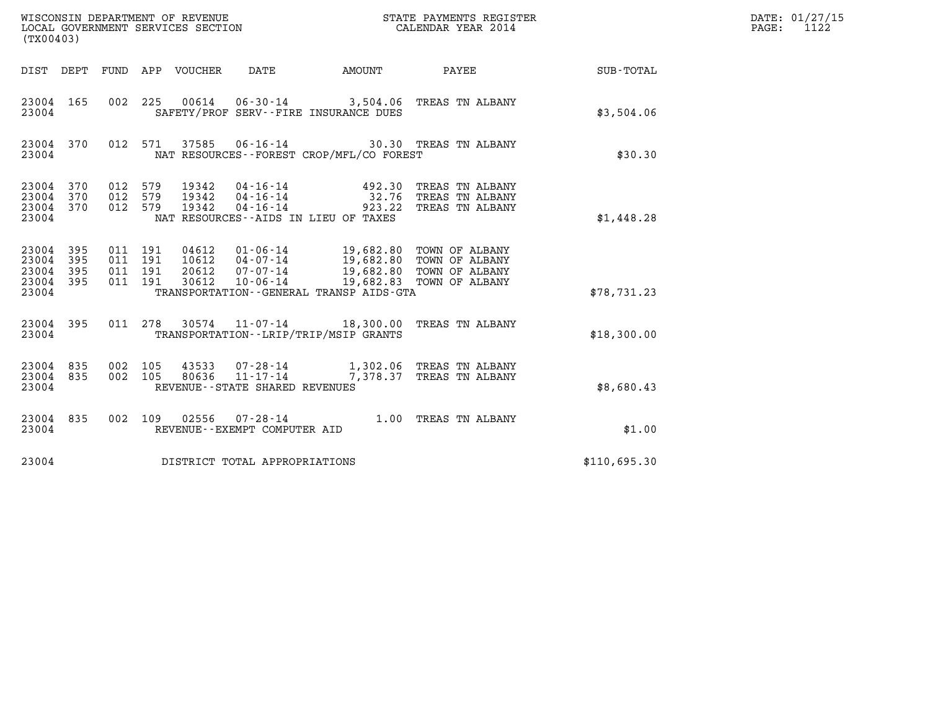| (TX00403)                                         |            |                                          |                                 | WISCONSIN DEPARTMENT OF REVENUE<br>LOCAL GOVERNMENT SERVICES SECTION | STATE PAYMENTS REGISTER<br>CALENDAR YEAR 2014 |                                                                                                                                                                 | DATE: 01/27/15<br>PAGE: 1122 |  |
|---------------------------------------------------|------------|------------------------------------------|---------------------------------|----------------------------------------------------------------------|-----------------------------------------------|-----------------------------------------------------------------------------------------------------------------------------------------------------------------|------------------------------|--|
|                                                   |            |                                          | DIST DEPT FUND APP VOUCHER DATE |                                                                      | AMOUNT PAYEE                                  |                                                                                                                                                                 | SUB-TOTAL                    |  |
| 23004 165<br>23004                                |            |                                          |                                 |                                                                      | SAFETY/PROF SERV--FIRE INSURANCE DUES         | 002 225 00614 06-30-14 3,504.06 TREAS TN ALBANY                                                                                                                 | \$3,504.06                   |  |
| 23004 370<br>23004                                |            |                                          |                                 |                                                                      | NAT RESOURCES--FOREST CROP/MFL/CO FOREST      | 012 571 37585 06-16-14 30.30 TREAS TN ALBANY                                                                                                                    | \$30.30                      |  |
| 23004 370<br>23004 370<br>23004 370<br>23004      |            | 012 579<br>012 579<br>012 579            |                                 |                                                                      | NAT RESOURCES--AIDS IN LIEU OF TAXES          | 19342  04-16-14   492.30 TREAS TN ALBANY<br>19342  04-16-14   32.76 TREAS TN ALBANY<br>19342  04-16-14   923.22 TREAS TN ALBANY                                 | \$1,448.28                   |  |
| 23004 395<br>23004<br>23004<br>23004 395<br>23004 | 395<br>395 | 011 191<br>011 191<br>011 191<br>011 191 | 30612                           | $10 - 06 - 14$                                                       | TRANSPORTATION - - GENERAL TRANSP AIDS - GTA  | 04612  01-06-14  19,682.80 TOWN OF ALBANY<br>10612  04-07-14  19,682.80 TOWN OF ALBANY<br>20612  07-07-14  19,682.80 TOWN OF ALBANY<br>19,682.83 TOWN OF ALBANY | \$78,731.23                  |  |
| 23004 395<br>23004                                |            |                                          |                                 |                                                                      | TRANSPORTATION - - LRIP/TRIP/MSIP GRANTS      | 011 278 30574 11-07-14 18,300.00 TREAS TN ALBANY                                                                                                                | \$18,300.00                  |  |
| 23004 835<br>23004 835<br>23004                   |            | 002 105<br>002 105                       |                                 | REVENUE - - STATE SHARED REVENUES                                    |                                               | 43533 07-28-14 1,302.06 TREAS TN ALBANY<br>80636 11-17-14 7,378.37 TREAS TN ALBANY                                                                              | \$8,680.43                   |  |
| 23004 835<br>23004                                |            |                                          |                                 | REVENUE--EXEMPT COMPUTER AID                                         |                                               | 002 109 02556 07-28-14 1.00 TREAS TN ALBANY                                                                                                                     | \$1.00                       |  |
| 23004                                             |            |                                          |                                 | DISTRICT TOTAL APPROPRIATIONS                                        |                                               |                                                                                                                                                                 | \$110,695.30                 |  |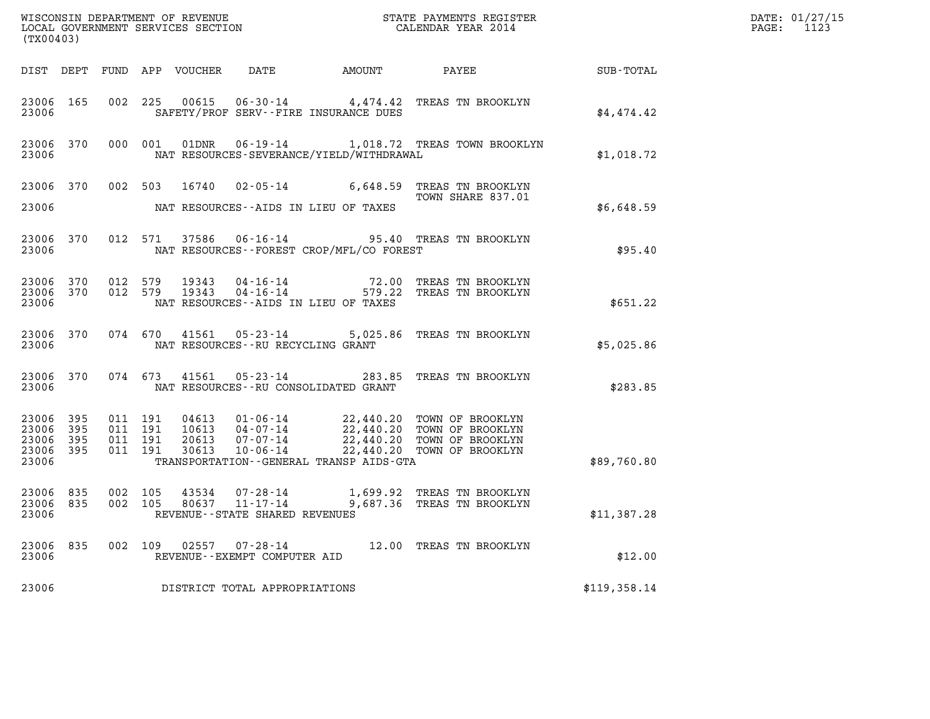| (TX00403)                                             |           |                               |         |                                                     |                                             |                                                                                                                                                                                                                                                                                  |              | DATE: 01/27/15<br>1123<br>$\mathtt{PAGE:}$ |
|-------------------------------------------------------|-----------|-------------------------------|---------|-----------------------------------------------------|---------------------------------------------|----------------------------------------------------------------------------------------------------------------------------------------------------------------------------------------------------------------------------------------------------------------------------------|--------------|--------------------------------------------|
|                                                       |           |                               |         |                                                     |                                             |                                                                                                                                                                                                                                                                                  |              |                                            |
| 23006                                                 | 23006 165 |                               |         |                                                     | SAFETY/PROF SERV--FIRE INSURANCE DUES       | 002 225 00615 06-30-14 4,474.42 TREAS TN BROOKLYN                                                                                                                                                                                                                                | \$4,474.42   |                                            |
| 23006                                                 |           |                               |         |                                                     | NAT RESOURCES-SEVERANCE/YIELD/WITHDRAWAL    | 23006 370 000 001 01DNR 06-19-14 1,018.72 TREAS TOWN BROOKLYN                                                                                                                                                                                                                    | \$1,018.72   |                                            |
|                                                       |           |                               |         |                                                     |                                             | 23006 370 002 503 16740 02-05-14 6,648.59 TREAS TN BROOKLYN<br>TOWN SHARE 837.01                                                                                                                                                                                                 |              |                                            |
| 23006                                                 |           |                               |         |                                                     | NAT RESOURCES--AIDS IN LIEU OF TAXES        |                                                                                                                                                                                                                                                                                  | \$6,648.59   |                                            |
| 23006                                                 |           |                               |         |                                                     | NAT RESOURCES - - FOREST CROP/MFL/CO FOREST | 23006 370 012 571 37586 06-16-14 95.40 TREAS TN BROOKLYN                                                                                                                                                                                                                         | \$95.40      |                                            |
| 23006                                                 |           |                               |         |                                                     | NAT RESOURCES--AIDS IN LIEU OF TAXES        | $\begin{array}{cccc} 23006 & 370 & 012 & 579 & 19343 & 04\text{-}16\text{-}14 & & & & 72.00 & \text{TREAS TN BROOKLYN} \\ 23006 & 370 & 012 & 579 & 19343 & 04\text{-}16\text{-}14 & & & & 579.22 & \text{TREAS TN BROOKLYN} \end{array}$                                        | \$651.22     |                                            |
| 23006                                                 |           |                               |         | NAT RESOURCES -- RU RECYCLING GRANT                 |                                             | 23006 370 074 670 41561 05-23-14 5,025.86 TREAS TN BROOKLYN                                                                                                                                                                                                                      | \$5,025.86   |                                            |
| 23006                                                 |           |                               |         |                                                     | NAT RESOURCES -- RU CONSOLIDATED GRANT      | 23006 370 074 673 41561 05-23-14 283.85 TREAS TN BROOKLYN                                                                                                                                                                                                                        | \$283.85     |                                            |
| 23006 395<br>23006<br>23006 395<br>23006 395<br>23006 | 395       | 011 191<br>011 191<br>011 191 | 011 191 |                                                     | TRANSPORTATION--GENERAL TRANSP AIDS-GTA     | $\begin{tabular}{c c c c c c c c c c c} \hline 04613 & 01-06-14 & 22,440.20 & TOWN OF BROOKLYN \\ 10613 & 04-07-14 & 22,440.20 & TOWN OF BROOKLYN \\ 20613 & 07-07-14 & 22,440.20 & TOWN OF BROOKLYN \\ 30613 & 10-06-14 & 22,440.20 & TOWN OF BROOKLYN \\ \hline \end{tabular}$ | \$89,760.80  |                                            |
| 23006 835<br>23006 835<br>23006                       |           | 002 105<br>002 105            |         | 80637 11-17-14<br>REVENUE - - STATE SHARED REVENUES |                                             | 43534 07-28-14 1,699.92 TREAS TN BROOKLYN<br>9,687.36 TREAS TN BROOKLYN                                                                                                                                                                                                          | \$11,387.28  |                                            |
| 23006 835<br>23006                                    |           | 002 109                       |         | REVENUE--EXEMPT COMPUTER AID                        |                                             | 12.00 TREAS TN BROOKLYN                                                                                                                                                                                                                                                          | \$12.00      |                                            |
| 23006                                                 |           |                               |         | DISTRICT TOTAL APPROPRIATIONS                       |                                             |                                                                                                                                                                                                                                                                                  | \$119,358.14 |                                            |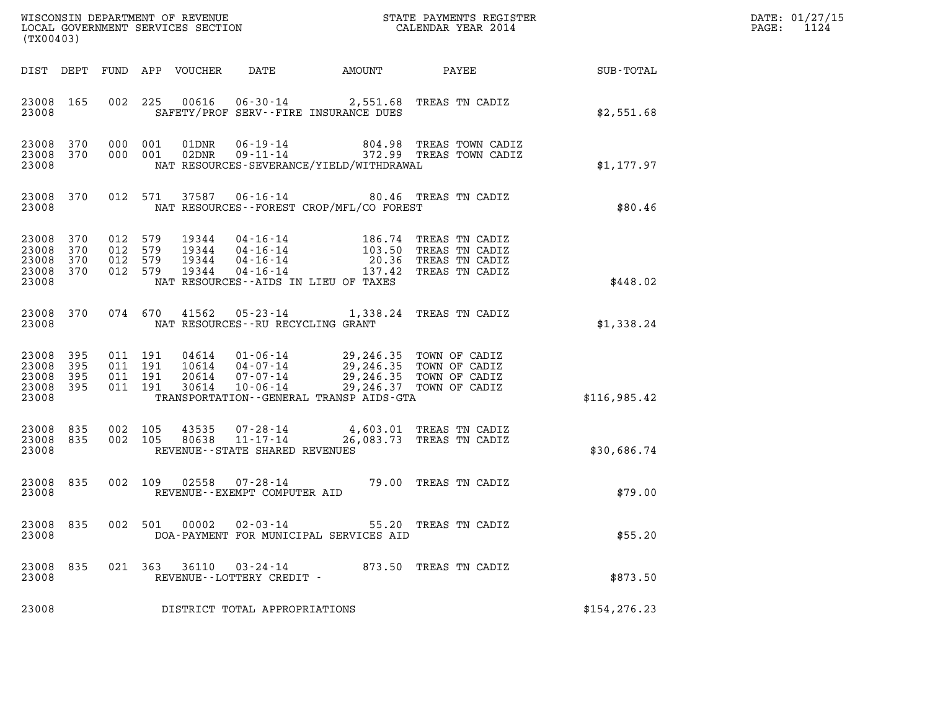| (TX00403)                                         |                   |                                          |         |                            |                                                     |                                                                                                                                   |                                                                                      |               | DATE: 01/27/15<br>$\mathtt{PAGE:}$<br>1124 |
|---------------------------------------------------|-------------------|------------------------------------------|---------|----------------------------|-----------------------------------------------------|-----------------------------------------------------------------------------------------------------------------------------------|--------------------------------------------------------------------------------------|---------------|--------------------------------------------|
|                                                   |                   |                                          |         | DIST DEPT FUND APP VOUCHER | DATE                                                |                                                                                                                                   | AMOUNT PAYEE                                                                         | SUB-TOTAL     |                                            |
| 23008 165<br>23008                                |                   |                                          |         |                            |                                                     | 002 225 00616 06-30-14 2,551.68 TREAS TN CADIZ<br>SAFETY/PROF SERV--FIRE INSURANCE DUES                                           |                                                                                      | \$2,551.68    |                                            |
| 23008 370<br>23008                                |                   | 23008 370 000 001                        | 000 001 |                            |                                                     | NAT RESOURCES-SEVERANCE/YIELD/WITHDRAWAL                                                                                          | 01DNR  06-19-14  804.98 TREAS TOWN CADIZ<br>02DNR  09-11-14  372.99 TREAS TOWN CADIZ | \$1,177.97    |                                            |
| 23008 370<br>23008                                |                   |                                          |         |                            |                                                     | 012 571 37587 06-16-14 80.46 TREAS TN CADIZ<br>NAT RESOURCES--FOREST CROP/MFL/CO FOREST                                           |                                                                                      | \$80.46       |                                            |
| 23008<br>23008<br>23008<br>23008 370<br>23008     | 370<br>370<br>370 | 012 579<br>012 579<br>012 579<br>012 579 |         |                            |                                                     | NAT RESOURCES -- AIDS IN LIEU OF TAXES                                                                                            |                                                                                      | \$448.02      |                                            |
| 23008                                             | 23008 370         |                                          |         | 074 670 41562              | NAT RESOURCES--RU RECYCLING GRANT                   | 05-23-14 1,338.24 TREAS TN CADIZ                                                                                                  |                                                                                      | \$1,338.24    |                                            |
| 23008 395<br>23008<br>23008<br>23008 395<br>23008 | 395<br>395        | 011 191<br>011 191<br>011 191<br>011 191 |         | 30614                      | 20614 07-07-14<br>$10 - 06 - 14$                    | 04614  01-06-14  29,246.35  TOWN OF CADIZ<br>10614  04-07-14  29,246.35  TOWN OF CADIZ<br>TRANSPORTATION--GENERAL TRANSP AIDS-GTA | 29,246.35 TOWN OF CADIZ<br>29,246.37 TOWN OF CADIZ                                   | \$116,985.42  |                                            |
| 23008 835<br>23008 835<br>23008                   |                   | 002 105<br>002 105                       |         | 43535<br>80638             | $11 - 17 - 14$<br>REVENUE - - STATE SHARED REVENUES | 07-28-14 4,603.01 TREAS TN CADIZ                                                                                                  | 26,083.73 TREAS TN CADIZ                                                             | \$30,686.74   |                                            |
| 23008 835<br>23008                                |                   |                                          |         |                            | REVENUE--EXEMPT COMPUTER AID                        | 002 109 02558 07-28-14 79.00 TREAS TN CADIZ                                                                                       |                                                                                      | \$79.00       |                                            |
| 23008 835<br>23008                                |                   |                                          |         | 002 501 00002              | $02 - 03 - 14$                                      | DOA-PAYMENT FOR MUNICIPAL SERVICES AID                                                                                            | 55.20 TREAS TN CADIZ                                                                 | \$55.20       |                                            |
| 23008 835<br>23008                                |                   |                                          |         | 021 363 36110              | 03-24-14<br>REVENUE--LOTTERY CREDIT -               |                                                                                                                                   | 873.50 TREAS TN CADIZ                                                                | \$873.50      |                                            |
| 23008                                             |                   |                                          |         |                            | DISTRICT TOTAL APPROPRIATIONS                       |                                                                                                                                   |                                                                                      | \$154, 276.23 |                                            |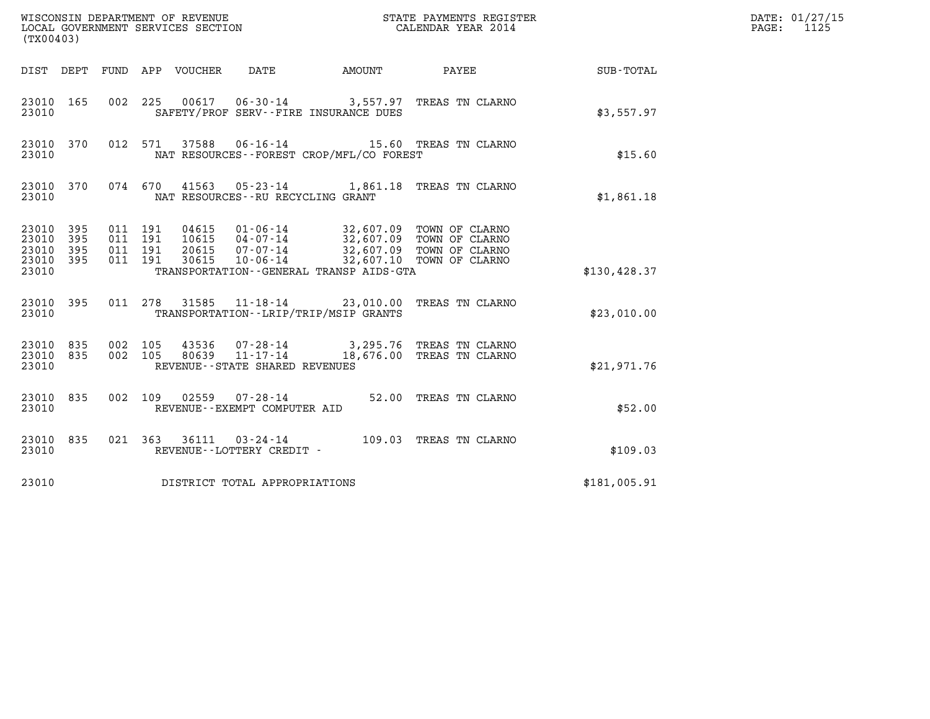| (TX00403)                                                          | WISCONSIN DEPARTMENT OF REVENUE<br>LOCAL GOVERNMENT SERVICES SECTION                                                                                                                                  | STATE PAYMENTS REGISTER<br>CALENDAR YEAR 2014        |               | DATE: 01/27/15<br>$\mathtt{PAGE:}$<br>1125 |
|--------------------------------------------------------------------|-------------------------------------------------------------------------------------------------------------------------------------------------------------------------------------------------------|------------------------------------------------------|---------------|--------------------------------------------|
| DIST DEPT                                                          | FUND APP VOUCHER<br>DATE                                                                                                                                                                              | AMOUNT PAYEE                                         | SUB-TOTAL     |                                            |
| 23010 165<br>23010                                                 | 06-30-14 3,557.97 TREAS TN CLARNO<br>00617<br>002 225<br>SAFETY/PROF SERV--FIRE INSURANCE DUES                                                                                                        |                                                      | \$3,557.97    |                                            |
| 23010 370<br>23010                                                 | 06-16-14 15.60 TREAS TN CLARNO<br>012 571<br>37588<br>NAT RESOURCES--FOREST CROP/MFL/CO FOREST                                                                                                        |                                                      | \$15.60       |                                            |
| 23010 370<br>23010                                                 | 074 670<br>41563<br>05-23-14 1,861.18 TREAS TN CLARNO<br>NAT RESOURCES - - RU RECYCLING GRANT                                                                                                         |                                                      | \$1,861.18    |                                            |
| 23010 395<br>23010<br>395<br>23010<br>395<br>395<br>23010<br>23010 | 011 191<br>04615<br>01-06-14 32,607.09 TOWN OF CLARNO<br>011 191<br>10615<br>$04 - 07 - 14$<br>011 191<br>$07 - 07 - 14$<br>20615<br>011 191<br>30615<br>TRANSPORTATION - - GENERAL TRANSP AIDS - GTA | 32,607.09 TOWN OF CLARNO<br>32,607.09 TOWN OF CLARNO | \$130, 428.37 |                                            |
| 23010 395<br>23010                                                 | 11-18-14 23,010.00 TREAS TN CLARNO<br>011 278 31585<br>TRANSPORTATION - - LRIP/TRIP/MSIP GRANTS                                                                                                       |                                                      | \$23,010.00   |                                            |
| 23010 835<br>23010<br>835<br>23010                                 | 002 105<br>43536 07-28-14 3,295.76 TREAS TN CLARNO<br>80639  11-17-14  18,676.00 TREAS TN CLARNO<br>002 105<br>REVENUE--STATE SHARED REVENUES                                                         |                                                      | \$21,971.76   |                                            |
| 23010 835<br>23010                                                 | $02559$ $07 - 28 - 14$<br>002 109<br>REVENUE--EXEMPT COMPUTER AID                                                                                                                                     | 52.00 TREAS TN CLARNO                                | \$52.00       |                                            |
| 23010 835<br>23010                                                 | 021 363 36111 03-24-14 109.03 TREAS TN CLARNO<br>REVENUE - - LOTTERY CREDIT -                                                                                                                         |                                                      | \$109.03      |                                            |
| 23010                                                              | DISTRICT TOTAL APPROPRIATIONS                                                                                                                                                                         |                                                      | \$181,005.91  |                                            |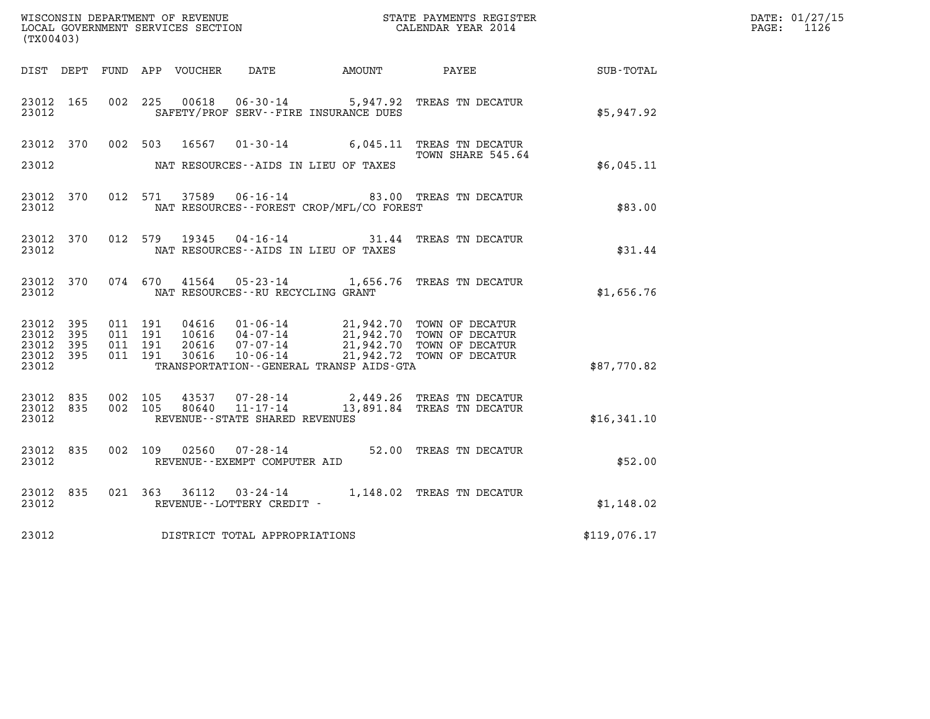| (TX00403)                                     |                     |  |                                   |                                                        |                                                                                                                                                                                                                                                                                                                                                                |                  | DATE: 01/27/15<br>PAGE: 1126 |
|-----------------------------------------------|---------------------|--|-----------------------------------|--------------------------------------------------------|----------------------------------------------------------------------------------------------------------------------------------------------------------------------------------------------------------------------------------------------------------------------------------------------------------------------------------------------------------------|------------------|------------------------------|
|                                               |                     |  |                                   | DIST DEPT FUND APP VOUCHER DATE      AMOUNT      PAYEE |                                                                                                                                                                                                                                                                                                                                                                | <b>SUB-TOTAL</b> |                              |
| 23012                                         |                     |  |                                   | SAFETY/PROF SERV--FIRE INSURANCE DUES                  | 23012 165 002 225 00618 06-30-14 5,947.92 TREAS TN DECATUR                                                                                                                                                                                                                                                                                                     | \$5,947.92       |                              |
|                                               |                     |  |                                   |                                                        | 23012 370 002 503 16567 01-30-14 6,045.11 TREAS TN DECATUR<br>TOWN SHARE 545.64                                                                                                                                                                                                                                                                                |                  |                              |
| 23012                                         |                     |  |                                   | NAT RESOURCES--AIDS IN LIEU OF TAXES                   |                                                                                                                                                                                                                                                                                                                                                                | \$6,045.11       |                              |
| 23012                                         |                     |  |                                   | NAT RESOURCES--FOREST CROP/MFL/CO FOREST               | 23012 370 012 571 37589 06-16-14 63.00 TREAS TN DECATUR                                                                                                                                                                                                                                                                                                        | \$83.00          |                              |
| 23012                                         |                     |  |                                   | NAT RESOURCES--AIDS IN LIEU OF TAXES                   | 23012 370 012 579 19345 04-16-14 31.44 TREAS TN DECATUR                                                                                                                                                                                                                                                                                                        | \$31.44          |                              |
| 23012                                         |                     |  | NAT RESOURCES--RU RECYCLING GRANT |                                                        | 23012 370 074 670 41564 05-23-14 1,656.76 TREAS TN DECATUR                                                                                                                                                                                                                                                                                                     | \$1,656.76       |                              |
| 23012 395<br>23012<br>23012<br>23012<br>23012 | - 395<br>395<br>395 |  |                                   | TRANSPORTATION--GENERAL TRANSP AIDS-GTA                | $\begin{array}{cccc} 011 & 191 & 04616 & 01\cdot 06\cdot 14 & 21,942.70 & \text{TOWN OF DECATIVE} \\ 011 & 191 & 10616 & 04\cdot 07\cdot 14 & 21,942.70 & \text{TOWN OF DECATIVE} \\ 011 & 191 & 20616 & 07\cdot 07\cdot 14 & 21,942.70 & \text{TOWN OF DECATIVE} \\ 011 & 191 & 30616 & 10\cdot 06\cdot 14 & 21,942.72 & \text{TOWN OF DECATIVE} \end{array}$ | \$87,770.82      |                              |
| 23012                                         |                     |  | REVENUE--STATE SHARED REVENUES    |                                                        | 23012 835 002 105 43537 07-28-14 2,449.26 TREAS TN DECATUR<br>23012 835 002 105 80640 11-17-14 13,891.84 TREAS TN DECATUR                                                                                                                                                                                                                                      | \$16,341.10      |                              |
| 23012                                         |                     |  | REVENUE--EXEMPT COMPUTER AID      |                                                        | 23012 835 002 109 02560 07-28-14 52.00 TREAS TN DECATUR                                                                                                                                                                                                                                                                                                        | \$52.00          |                              |
| 23012                                         |                     |  | REVENUE--LOTTERY CREDIT -         |                                                        | 23012 835 021 363 36112 03-24-14 1,148.02 TREAS TN DECATUR                                                                                                                                                                                                                                                                                                     | \$1,148.02       |                              |
| 23012                                         |                     |  | DISTRICT TOTAL APPROPRIATIONS     |                                                        |                                                                                                                                                                                                                                                                                                                                                                | \$119,076.17     |                              |
|                                               |                     |  |                                   |                                                        |                                                                                                                                                                                                                                                                                                                                                                |                  |                              |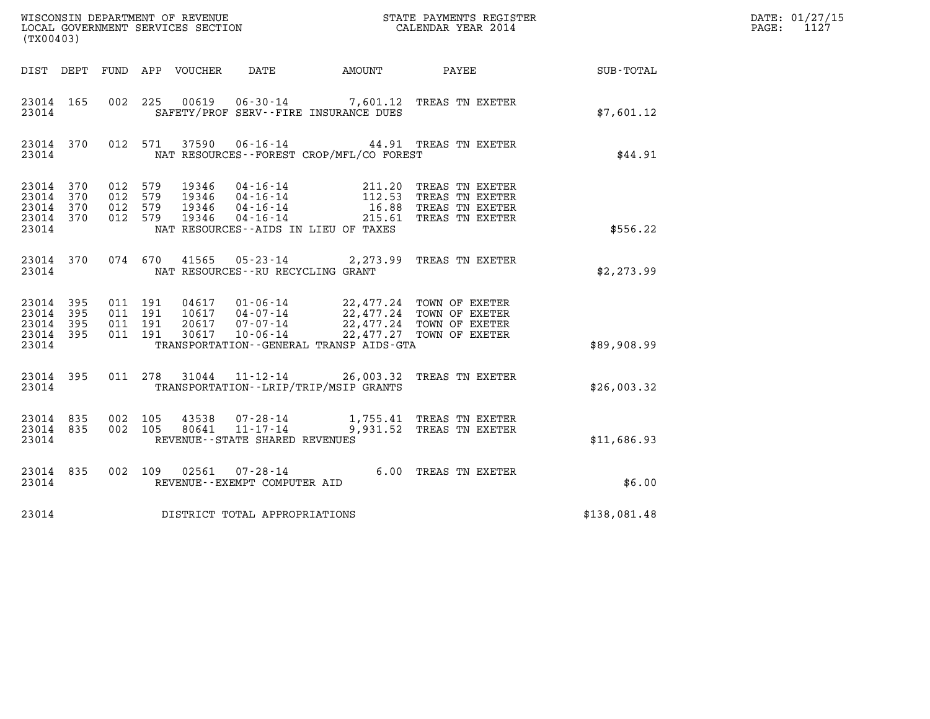| (TX00403)                                |                  |                                                    |         |                                   |                                              |                                                                                                                                                                                                                                           |                                                              | DATE: 01/27/15<br>PAGE: 1127 |
|------------------------------------------|------------------|----------------------------------------------------|---------|-----------------------------------|----------------------------------------------|-------------------------------------------------------------------------------------------------------------------------------------------------------------------------------------------------------------------------------------------|--------------------------------------------------------------|------------------------------|
|                                          |                  |                                                    |         |                                   |                                              |                                                                                                                                                                                                                                           | DIST DEPT FUND APP VOUCHER DATE AMOUNT PAYEE TOTAL SUB-TOTAL |                              |
| 23014                                    | 23014 165        |                                                    |         |                                   | SAFETY/PROF SERV--FIRE INSURANCE DUES        | 002 225 00619 06-30-14 7,601.12 TREAS TN EXETER                                                                                                                                                                                           | \$7,601.12                                                   |                              |
| 23014                                    |                  |                                                    |         |                                   | NAT RESOURCES -- FOREST CROP/MFL/CO FOREST   | 23014 370 012 571 37590 06-16-14 44.91 TREAS TN EXETER                                                                                                                                                                                    | \$44.91                                                      |                              |
| 23014 370<br>23014 370<br>23014          | 23014 370        | 23014 370 012 579<br>012 579<br>012 579<br>012 579 |         |                                   | NAT RESOURCES -- AIDS IN LIEU OF TAXES       | 19346  04-16-14  211.20 TREAS TN EXETER<br>19346  04-16-14  112.53 TREAS TN EXETER<br>19346  04-16-14  16.88 TREAS TN EXETER<br>19346  04-16-14  215.61 TREAS TN EXETER                                                                   | \$556.22                                                     |                              |
| 23014                                    |                  |                                                    |         | NAT RESOURCES--RU RECYCLING GRANT |                                              | 23014 370 074 670 41565 05-23-14 2,273.99 TREAS TN EXETER                                                                                                                                                                                 | \$2,273.99                                                   |                              |
| 23014 395<br>23014<br>23014 395<br>23014 | 395<br>23014 395 | 011 191<br>011 191<br>011 191                      | 011 191 |                                   | TRANSPORTATION - - GENERAL TRANSP AIDS - GTA | $\begin{tabular}{cccc} 04617 & 01-06-14 & 22,477.24 & TOWN OF EXETER \\ 10617 & 04-07-14 & 22,477.24 & TOWN OF EXETER \\ 20617 & 07-07-14 & 22,477.24 & TOWN OF EXETER \\ 30617 & 10-06-14 & 22,477.27 & TOWN OF EXETER \\ \end{tabular}$ | \$89,908.99                                                  |                              |
| 23014                                    |                  |                                                    |         |                                   | TRANSPORTATION - - LRIP/TRIP/MSIP GRANTS     | 23014 395 011 278 31044 11-12-14 26,003.32 TREAS TN EXETER                                                                                                                                                                                | \$26,003.32                                                  |                              |
| 23014 835<br>23014                       |                  | 23014 835 002 105<br>002 105                       |         | REVENUE--STATE SHARED REVENUES    |                                              |                                                                                                                                                                                                                                           | \$11,686.93                                                  |                              |
| 23014                                    | 23014 835        |                                                    |         | REVENUE--EXEMPT COMPUTER AID      |                                              | 002 109 02561 07-28-14 6.00 TREAS TN EXETER<br>REVENUE--EXEMPT COMPUTER ATD                                                                                                                                                               | \$6.00                                                       |                              |
| 23014                                    |                  |                                                    |         | DISTRICT TOTAL APPROPRIATIONS     |                                              |                                                                                                                                                                                                                                           | \$138,081.48                                                 |                              |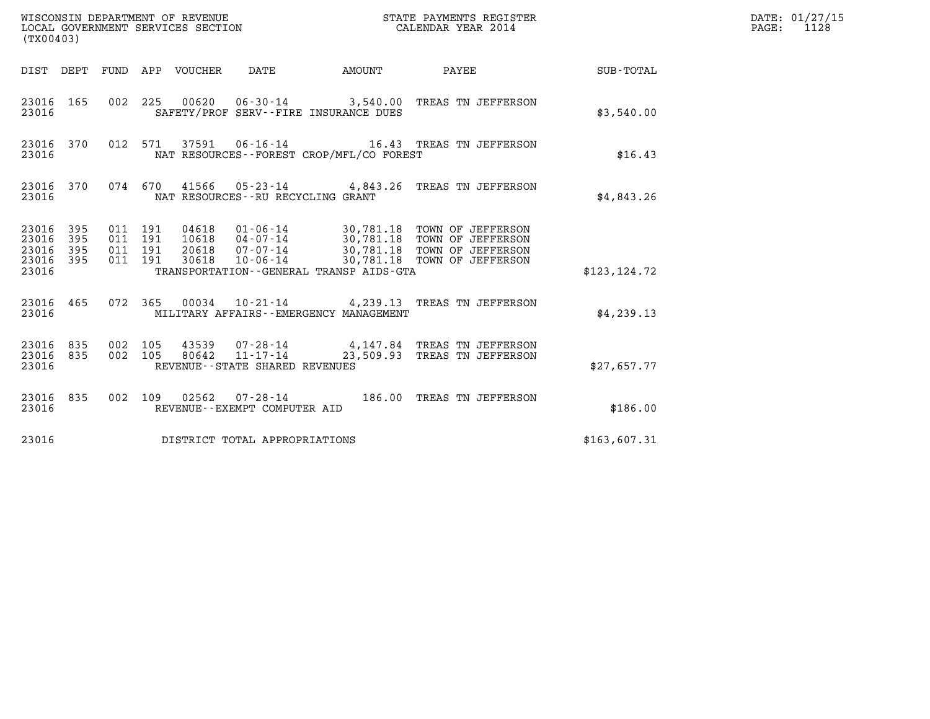| (TX00403)                                 |                          |                                          |                                 | WISCONSIN DEPARTMENT OF REVENUE<br>LOCAL GOVERNMENT SERVICES SECTION |                                           | STATE PAYMENTS REGISTER<br>CALENDAR YEAR 2014                                                                                                                         |               | DATE: 01/27/15<br>$\mathtt{PAGE:}$<br>1128 |
|-------------------------------------------|--------------------------|------------------------------------------|---------------------------------|----------------------------------------------------------------------|-------------------------------------------|-----------------------------------------------------------------------------------------------------------------------------------------------------------------------|---------------|--------------------------------------------|
|                                           |                          |                                          | DIST DEPT FUND APP VOUCHER DATE |                                                                      | <b>AMOUNT</b>                             | PAYEE                                                                                                                                                                 | SUB-TOTAL     |                                            |
| 23016 165<br>23016                        |                          |                                          |                                 |                                                                      | SAFETY/PROF SERV--FIRE INSURANCE DUES     | 002 225 00620 06-30-14 3,540.00 TREAS TN JEFFERSON                                                                                                                    | \$3,540.00    |                                            |
| 23016 370<br>23016                        |                          |                                          |                                 |                                                                      | NAT RESOURCES--FOREST CROP/MFL/CO FOREST  | 012 571 37591 06-16-14 16.43 TREAS TN JEFFERSON                                                                                                                       | \$16.43       |                                            |
| 23016                                     | 23016 370                |                                          |                                 | NAT RESOURCES--RU RECYCLING GRANT                                    |                                           | 074 670 41566 05-23-14 4,843.26 TREAS TN JEFFERSON                                                                                                                    | \$4,843.26    |                                            |
| 23016<br>23016<br>23016<br>23016<br>23016 | 395<br>395<br>395<br>395 | 011 191<br>011 191<br>011 191<br>011 191 | 20618<br>30618                  | 07-07-14                                                             | TRANSPORTATION--GENERAL TRANSP AIDS-GTA   | 04618  01-06-14  30,781.18  TOWN OF JEFFERSON<br>10618  04-07-14  30,781.18  TOWN OF JEFFERSON<br>30,781.18 TOWN OF JEFFERSON<br>10-06-14 30,781.18 TOWN OF JEFFERSON | \$123, 124.72 |                                            |
| 23016 465<br>23016                        |                          |                                          |                                 |                                                                      | MILITARY AFFAIRS - - EMERGENCY MANAGEMENT | 072 365 00034 10-21-14 4,239.13 TREAS TN JEFFERSON                                                                                                                    | \$4,239.13    |                                            |
| 23016 835<br>23016<br>23016               | 835                      | 002 105<br>002 105                       | 43539<br>80642                  | 11-17-14<br>REVENUE - - STATE SHARED REVENUES                        |                                           | 07-28-14 4,147.84 TREAS TN JEFFERSON<br>23,509.93 TREAS TN JEFFERSON                                                                                                  | \$27,657.77   |                                            |
| 23016 835<br>23016                        |                          |                                          |                                 | REVENUE--EXEMPT COMPUTER AID                                         |                                           | 002 109 02562 07-28-14 186.00 TREAS TN JEFFERSON                                                                                                                      | \$186.00      |                                            |
| 23016                                     |                          |                                          |                                 | DISTRICT TOTAL APPROPRIATIONS                                        |                                           |                                                                                                                                                                       | \$163,607.31  |                                            |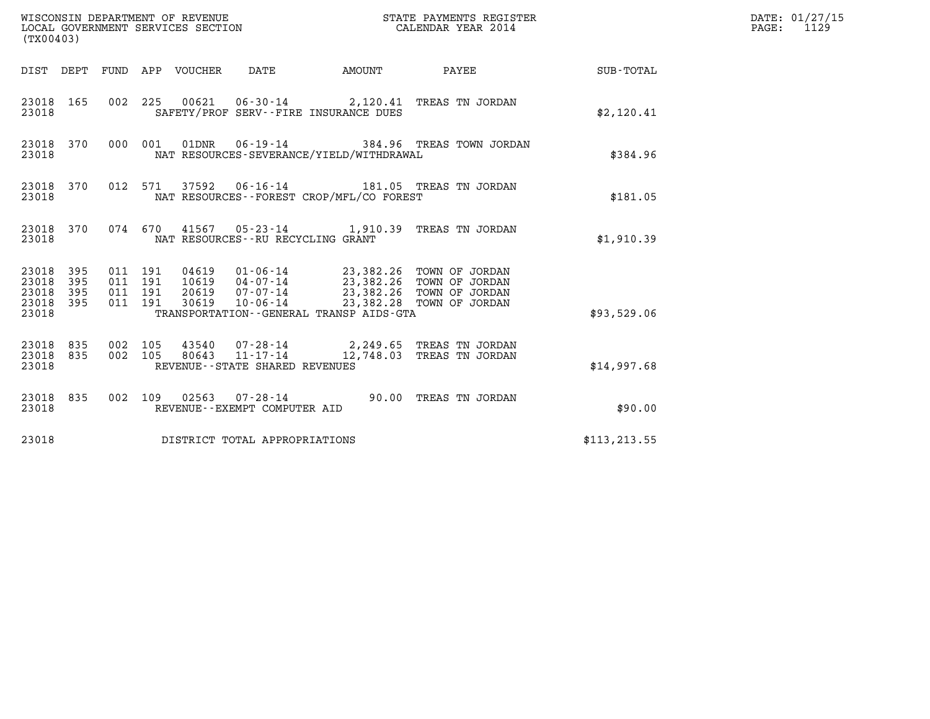| (TX00403)                                         |            |                                          |         |                                  | WISCONSIN DEPARTMENT OF REVENUE<br>LOCAL GOVERNMENT SERVICES SECTION |                                                                                                                                               | STATE PAYMENTS REGISTER<br>CALENDAR YEAR 2014                        |               | DATE: 01/27/15<br>$\mathtt{PAGE:}$<br>1129 |
|---------------------------------------------------|------------|------------------------------------------|---------|----------------------------------|----------------------------------------------------------------------|-----------------------------------------------------------------------------------------------------------------------------------------------|----------------------------------------------------------------------|---------------|--------------------------------------------|
|                                                   |            |                                          |         | DIST DEPT FUND APP VOUCHER DATE  |                                                                      | <b>EXAMPLE THE AMOUNT</b>                                                                                                                     | PAYEE                                                                | SUB-TOTAL     |                                            |
| 23018 165<br>23018                                |            |                                          |         |                                  |                                                                      | SAFETY/PROF SERV--FIRE INSURANCE DUES                                                                                                         | 002 225 00621 06-30-14 2,120.41 TREAS TN JORDAN                      | \$2,120.41    |                                            |
| 23018 370<br>23018                                |            |                                          | 000 001 |                                  | $01\text{DNR}$ $06 - 19 - 14$                                        | NAT RESOURCES-SEVERANCE/YIELD/WITHDRAWAL                                                                                                      | 384.96 TREAS TOWN JORDAN                                             | \$384.96      |                                            |
| 23018 370<br>23018                                |            |                                          | 012 571 |                                  |                                                                      | NAT RESOURCES--FOREST CROP/MFL/CO FOREST                                                                                                      | 37592   06-16-14   181.05   TREAS TN JORDAN                          | \$181.05      |                                            |
| 23018 370<br>23018                                |            |                                          |         |                                  | NAT RESOURCES - - RU RECYCLING GRANT                                 |                                                                                                                                               | 074 670 41567 05-23-14 1,910.39 TREAS TN JORDAN                      | \$1,910.39    |                                            |
| 23018 395<br>23018<br>23018<br>23018 395<br>23018 | 395<br>395 | 011 191<br>011 191<br>011 191<br>011 191 |         | 04619<br>10619<br>20619<br>30619 | $07 - 07 - 14$<br>$10 - 06 - 14$                                     | 01-06-14 23,382.26 TOWN OF JORDAN<br>04-07-14 23,382.26 TOWN OF JORDAN<br>23,382.26 TOWN OF JORDAN<br>TRANSPORTATION--GENERAL TRANSP AIDS-GTA | 23,382.28 TOWN OF JORDAN                                             | \$93,529.06   |                                            |
| 23018 835<br>23018<br>23018                       | 835        | 002 105<br>002 105                       |         | 80643                            | $11 - 17 - 14$<br>REVENUE--STATE SHARED REVENUES                     |                                                                                                                                               | 43540 07-28-14 2,249.65 TREAS TN JORDAN<br>12,748.03 TREAS TN JORDAN | \$14,997.68   |                                            |
| 23018 835<br>23018                                |            |                                          |         |                                  | 002 109 02563 07-28-14<br>REVENUE--EXEMPT COMPUTER AID               |                                                                                                                                               | 90.00 TREAS TN JORDAN                                                | \$90.00       |                                            |
| 23018                                             |            |                                          |         |                                  | DISTRICT TOTAL APPROPRIATIONS                                        |                                                                                                                                               |                                                                      | \$113, 213.55 |                                            |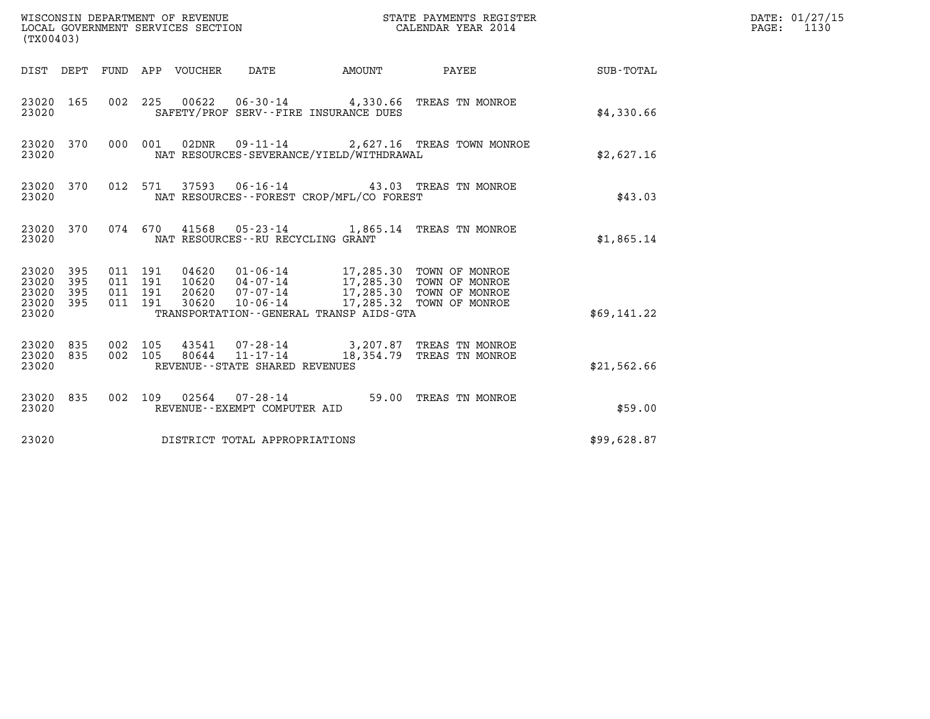| (TX00403)                                                       |                                          |                                 |                                                                                                                                                                                                                                 |               | STATE PAYMENTS REGISTER                                              |             | DATE: 01/27/15<br>$\mathtt{PAGE:}$<br>1130 |
|-----------------------------------------------------------------|------------------------------------------|---------------------------------|---------------------------------------------------------------------------------------------------------------------------------------------------------------------------------------------------------------------------------|---------------|----------------------------------------------------------------------|-------------|--------------------------------------------|
|                                                                 |                                          | DIST DEPT FUND APP VOUCHER DATE |                                                                                                                                                                                                                                 | <b>AMOUNT</b> | PAYEE                                                                | SUB-TOTAL   |                                            |
| 23020 165<br>23020                                              |                                          |                                 | SAFETY/PROF SERV--FIRE INSURANCE DUES                                                                                                                                                                                           |               | 002 225 00622 06-30-14 4,330.66 TREAS TN MONROE                      | \$4,330.66  |                                            |
| 23020 370<br>23020                                              |                                          |                                 | NAT RESOURCES-SEVERANCE/YIELD/WITHDRAWAL                                                                                                                                                                                        |               | 000 001 02DNR 09-11-14 2,627.16 TREAS TOWN MONROE                    | \$2,627.16  |                                            |
| 23020 370<br>23020                                              | 012 571                                  |                                 | NAT RESOURCES - - FOREST CROP/MFL/CO FOREST                                                                                                                                                                                     |               | 37593  06-16-14  43.03  TREAS TN MONROE                              | \$43.03     |                                            |
| 23020 370<br>23020                                              |                                          |                                 | NAT RESOURCES -- RU RECYCLING GRANT                                                                                                                                                                                             |               | 074 670 41568 05-23-14 1,865.14 TREAS TN MONROE                      | \$1,865.14  |                                            |
| 23020 395<br>23020<br>395<br>23020<br>395<br>23020 395<br>23020 | 011 191<br>011 191<br>011 191<br>011 191 |                                 | 04620  01-06-14  17,285.30  TOWN OF MONROE<br>10620  04-07-14  17,285.30  TOWN OF MONROE<br>20620  07-07-14  17,285.30  TOWN OF MONROE<br>30620  10-06-14  17,285.32  TOWN OF MONROE<br>TRANSPORTATION--GENERAL TRANSP AIDS-GTA |               |                                                                      | \$69,141.22 |                                            |
| 23020 835<br>23020 835<br>23020                                 | 002 105<br>002 105                       | 80644                           | 11-17-14<br>REVENUE - - STATE SHARED REVENUES                                                                                                                                                                                   |               | 43541 07-28-14 3,207.87 TREAS TN MONROE<br>18,354.79 TREAS TN MONROE | \$21,562.66 |                                            |
| 23020 835<br>23020                                              |                                          |                                 | REVENUE--EXEMPT COMPUTER AID                                                                                                                                                                                                    |               | 002 109 02564 07-28-14 59.00 TREAS TN MONROE                         | \$59.00     |                                            |
| 23020                                                           |                                          |                                 | DISTRICT TOTAL APPROPRIATIONS                                                                                                                                                                                                   |               |                                                                      | \$99,628.87 |                                            |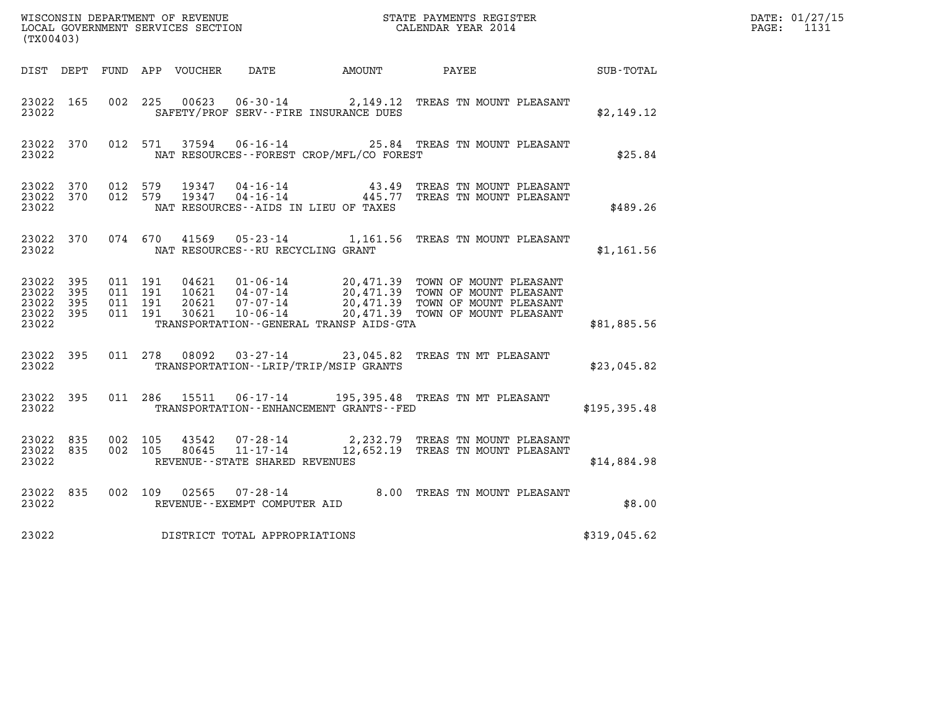| (TX00403)                                         |            |                                          |         |                         |                                                           |                                               |                                                                                                                                                                               |               | DATE: 01/27/15<br>PAGE: 1131 |
|---------------------------------------------------|------------|------------------------------------------|---------|-------------------------|-----------------------------------------------------------|-----------------------------------------------|-------------------------------------------------------------------------------------------------------------------------------------------------------------------------------|---------------|------------------------------|
|                                                   |            |                                          |         |                         |                                                           | DIST DEPT FUND APP VOUCHER DATE AMOUNT        | PAYEE                                                                                                                                                                         | SUB-TOTAL     |                              |
| 23022 165<br>23022                                |            | 002 225                                  |         | 00623                   |                                                           | SAFETY/PROF SERV--FIRE INSURANCE DUES         | 06-30-14 2,149.12 TREAS TN MOUNT PLEASANT                                                                                                                                     | \$2,149.12    |                              |
| 23022 370<br>23022                                |            |                                          | 012 571 |                         |                                                           | NAT RESOURCES - - FOREST CROP/MFL/CO FOREST   | 37594 06-16-14 25.84 TREAS TN MOUNT PLEASANT                                                                                                                                  | \$25.84       |                              |
| 23022 370<br>23022                                |            | 23022 370 012 579<br>012 579             |         |                         |                                                           | NAT RESOURCES--AIDS IN LIEU OF TAXES          | $\begin{array}{cccc} 19347 & 04\cdot 16\cdot 14 & 43.49 & \text{TREAS TN MOUNT PLEASANT} \\ 19347 & 04\cdot 16\cdot 14 & 445.77 & \text{TREAS TN MOUNT PLEASANT} \end{array}$ | \$489.26      |                              |
| 23022 370<br>23022                                |            |                                          |         |                         | NAT RESOURCES--RU RECYCLING GRANT                         |                                               | 074 670 41569 05-23-14 1,161.56 TREAS TN MOUNT PLEASANT                                                                                                                       | \$1,161.56    |                              |
| 23022 395<br>23022<br>23022<br>23022 395<br>23022 | 395<br>395 | 011 191<br>011 191<br>011 191<br>011 191 |         | 04621<br>20621<br>30621 | $10621$ $04-07-14$<br>07-07-14<br>10-06-14                | TRANSPORTATION--GENERAL TRANSP AIDS-GTA       | 01-06-14 20,471.39 TOWN OF MOUNT PLEASANT<br>20,471.39 TOWN OF MOUNT PLEASANT<br>20,471.39 TOWN OF MOUNT PLEASANT<br>20,471.39 TOWN OF MOUNT PLEASANT                         | \$81,885.56   |                              |
| 23022 395<br>23022                                |            |                                          |         | 011 278 08092           |                                                           | TRANSPORTATION - - LRIP/TRIP/MSIP GRANTS      | 03-27-14 23,045.82 TREAS TN MT PLEASANT                                                                                                                                       | \$23,045.82   |                              |
| 23022 395<br>23022                                |            |                                          |         |                         | 011 286 15511 06-17-14                                    | TRANSPORTATION - - ENHANCEMENT GRANTS - - FED | 195,395.48 TREAS TN MT PLEASANT                                                                                                                                               | \$195, 395.48 |                              |
| 23022 835<br>23022 835<br>23022                   |            | 002 105<br>002 105                       |         | 43542<br>80645          | 07-28-14<br>11-17-14<br>REVENUE - - STATE SHARED REVENUES |                                               | 2,232.79 TREAS TN MOUNT PLEASANT<br>12,652.19 TREAS TN MOUNT PLEASANT                                                                                                         | \$14,884.98   |                              |
| 23022 835<br>23022                                |            |                                          |         |                         | 002 109 02565 07-28-14<br>REVENUE - - EXEMPT COMPUTER AID |                                               | 8.00 TREAS TN MOUNT PLEASANT                                                                                                                                                  | \$8.00        |                              |
| 23022                                             |            |                                          |         |                         | DISTRICT TOTAL APPROPRIATIONS                             |                                               |                                                                                                                                                                               | \$319,045.62  |                              |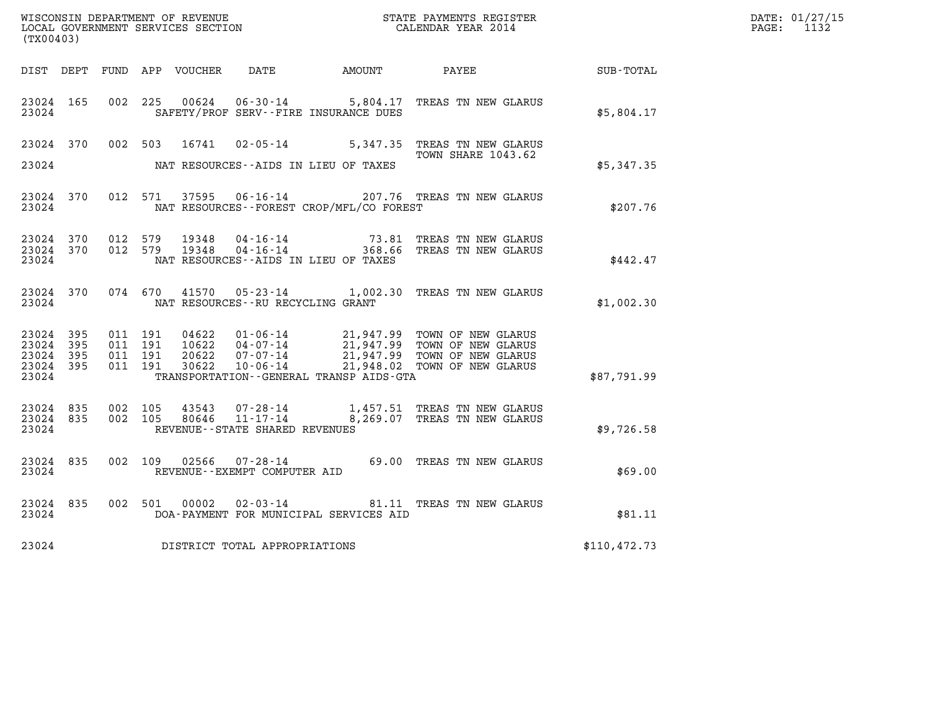| WISCONSIN DEPARTMENT OF REVENUE   | STATE PAYMENTS REGISTER | DATE: 01/27/15 |
|-----------------------------------|-------------------------|----------------|
| LOCAL GOVERNMENT SERVICES SECTION | CALENDAR YEAR 2014      | PAGE:          |

| (TX00403)                                 |                          |                          |                          | WISCONSIN DEPARTMENT OF REVENUE<br>LOCAL GOVERNMENT SERVICES SECTION |                                                                       |                                                                                | STATE PAYMENTS REGISTER<br>CALENDAR YEAR 2014                                                  |               |
|-------------------------------------------|--------------------------|--------------------------|--------------------------|----------------------------------------------------------------------|-----------------------------------------------------------------------|--------------------------------------------------------------------------------|------------------------------------------------------------------------------------------------|---------------|
| DIST                                      | DEPT                     | FUND                     | APP                      | VOUCHER                                                              | DATE                                                                  | AMOUNT                                                                         | PAYEE                                                                                          | SUB-TOTAL     |
| 23024<br>23024                            | 165                      | 002                      | 225                      | 00624                                                                |                                                                       | $06 - 30 - 14$ 5,804.17<br>SAFETY/PROF SERV--FIRE INSURANCE DUES               | TREAS TN NEW GLARUS                                                                            | \$5,804.17    |
| 23024                                     | 370                      | 002                      | 503                      | 16741                                                                | $02 - 05 - 14$                                                        | 5,347.35                                                                       | TREAS TN NEW GLARUS<br><b>TOWN SHARE 1043.62</b>                                               |               |
| 23024                                     |                          |                          |                          |                                                                      | NAT RESOURCES -- AIDS IN LIEU OF TAXES                                |                                                                                |                                                                                                | \$5,347.35    |
| 23024<br>23024                            | 370                      | 012                      | 571                      | 37595                                                                | $06 - 16 - 14$                                                        | NAT RESOURCES - - FOREST CROP/MFL/CO FOREST                                    | 207.76 TREAS TN NEW GLARUS                                                                     | \$207.76      |
| 23024<br>23024<br>23024                   | 370<br>370               | 012<br>012               | 579<br>579               | 19348<br>19348                                                       |                                                                       | 04-16-14 73.81<br>04-16-14 368.66<br>NAT RESOURCES -- AIDS IN LIEU OF TAXES    | TREAS TN NEW GLARUS<br>TREAS TN NEW GLARUS                                                     | \$442.47      |
| 23024<br>23024                            | 370                      |                          | 074 670                  | 41570                                                                | NAT RESOURCES - - RU RECYCLING GRANT                                  | $05 - 23 - 14$ 1,002.30                                                        | TREAS TN NEW GLARUS                                                                            | \$1,002.30    |
| 23024<br>23024<br>23024<br>23024<br>23024 | 395<br>395<br>395<br>395 | 011<br>011<br>011<br>011 | 191<br>191<br>191<br>191 | 04622<br>10622<br>20622<br>30622                                     | $01 - 06 - 14$<br>$04 - 07 - 14$<br>$07 - 07 - 14$<br>$10 - 06 - 14$  | 21,947.99<br>21,947.99<br>21,948.02<br>TRANSPORTATION--GENERAL TRANSP AIDS-GTA | 21,947.99 TOWN OF NEW GLARUS<br>TOWN OF NEW GLARUS<br>TOWN OF NEW GLARUS<br>TOWN OF NEW GLARUS | \$87,791.99   |
| 23024<br>23024<br>23024                   | 835<br>835               | 002<br>002               | 105<br>105               | 43543<br>80646                                                       | $07 - 28 - 14$<br>$11 - 17 - 14$<br>REVENUE - - STATE SHARED REVENUES | 8,269.07                                                                       | 1,457.51 TREAS TN NEW GLARUS<br>TREAS TN NEW GLARUS                                            | \$9,726.58    |
| 23024<br>23024                            | 835                      | 002                      | 109                      | 02566                                                                | $07 - 28 - 14$<br>REVENUE--EXEMPT COMPUTER AID                        |                                                                                | 69.00 TREAS TN NEW GLARUS                                                                      | \$69.00       |
| 23024<br>23024                            | 835                      | 002                      | 501                      | 00002                                                                | $02 - 03 - 14$                                                        | 81.11<br>DOA-PAYMENT FOR MUNICIPAL SERVICES AID                                | TREAS TN NEW GLARUS                                                                            | \$81.11       |
| 23024                                     |                          |                          |                          |                                                                      | DISTRICT TOTAL APPROPRIATIONS                                         |                                                                                |                                                                                                | \$110, 472.73 |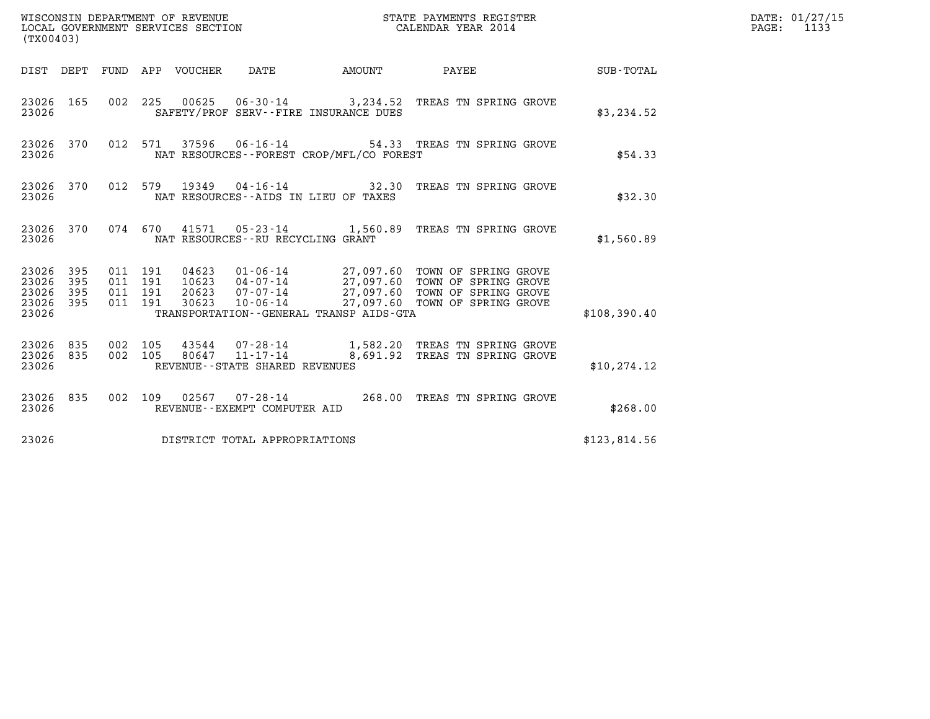| (TX00403)                                         |            |                    |                    |                                  |                                               |                                                                                                                                                                          |              | DATE: 01/27/15<br>$\mathtt{PAGE:}$<br>1133 |
|---------------------------------------------------|------------|--------------------|--------------------|----------------------------------|-----------------------------------------------|--------------------------------------------------------------------------------------------------------------------------------------------------------------------------|--------------|--------------------------------------------|
|                                                   |            |                    |                    | DIST DEPT FUND APP VOUCHER DATE  |                                               | AMOUNT PAYEE                                                                                                                                                             | SUB-TOTAL    |                                            |
| 23026 165<br>23026                                |            |                    |                    |                                  | SAFETY/PROF SERV--FIRE INSURANCE DUES         | 002 225 00625 06-30-14 3,234.52 TREAS TN SPRING GROVE                                                                                                                    | \$3,234.52   |                                            |
| 23026 370<br>23026                                |            |                    |                    |                                  | NAT RESOURCES--FOREST CROP/MFL/CO FOREST      | 012 571 37596 06-16-14 54.33 TREAS TN SPRING GROVE                                                                                                                       | \$54.33      |                                            |
| 23026 370<br>23026                                |            |                    |                    |                                  | NAT RESOURCES--AIDS IN LIEU OF TAXES          | 012 579 19349 04-16-14 32.30 TREAS TN SPRING GROVE                                                                                                                       | \$32.30      |                                            |
| 23026                                             |            |                    |                    |                                  | NAT RESOURCES--RU RECYCLING GRANT             | 23026 370 074 670 41571 05-23-14 1,560.89 TREAS TN SPRING GROVE                                                                                                          | \$1,560.89   |                                            |
| 23026 395<br>23026<br>23026<br>23026 395<br>23026 | 395<br>395 | 011 191<br>011 191 | 011 191<br>011 191 | 04623<br>10623<br>20623<br>30623 | TRANSPORTATION--GENERAL TRANSP AIDS-GTA       | 01-06-14 27,097.60 TOWN OF SPRING GROVE<br>04-07-14 27,097.60 TOWN OF SPRING GROVE<br>07-07-14 27,097.60 TOWN OF SPRING GROVE<br>10-06-14 27,097.60 TOWN OF SPRING GROVE | \$108,390.40 |                                            |
| 23026 835<br>23026 835<br>23026                   |            | 002 105<br>002 105 |                    | 80647                            | 11-17-14<br>REVENUE - - STATE SHARED REVENUES | 43544  07-28-14   1,582.20 TREAS TN SPRING GROVE<br>8,691.92 TREAS TN SPRING GROVE                                                                                       | \$10, 274.12 |                                            |
| 23026 835<br>23026                                |            |                    |                    |                                  | REVENUE--EXEMPT COMPUTER AID                  | 002 109 02567 07-28-14 268.00 TREAS TN SPRING GROVE                                                                                                                      | \$268.00     |                                            |
| 23026                                             |            |                    |                    |                                  | DISTRICT TOTAL APPROPRIATIONS                 |                                                                                                                                                                          | \$123,814.56 |                                            |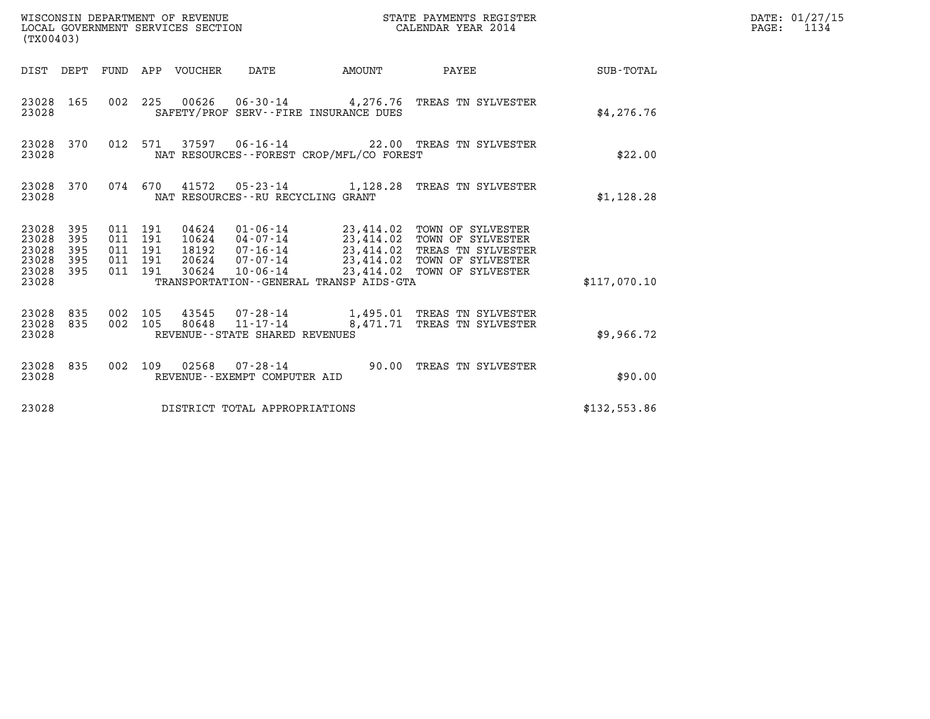| WISCONSIN DEPARTMENT OF REVENUE<br>LOCAL GOVERNMENT SERVICES SECTION<br>(TX00403) |                          |                                                     |     |                                 |                                |                                              | STATE PAYMENTS REGISTER<br>CALENDAR YEAR 2014                                                                                                                                                                                                                                                                                                                                                    |                 | DATE: 01/27/15<br>$\mathtt{PAGE:}$<br>1134 |
|-----------------------------------------------------------------------------------|--------------------------|-----------------------------------------------------|-----|---------------------------------|--------------------------------|----------------------------------------------|--------------------------------------------------------------------------------------------------------------------------------------------------------------------------------------------------------------------------------------------------------------------------------------------------------------------------------------------------------------------------------------------------|-----------------|--------------------------------------------|
|                                                                                   |                          |                                                     |     | DIST DEPT FUND APP VOUCHER DATE |                                | AMOUNT                                       |                                                                                                                                                                                                                                                                                                                                                                                                  | PAYEE SUB-TOTAL |                                            |
| 23028 165<br>23028                                                                |                          |                                                     |     |                                 |                                | SAFETY/PROF SERV--FIRE INSURANCE DUES        | 002 225 00626 06-30-14 4,276.76 TREAS TN SYLVESTER                                                                                                                                                                                                                                                                                                                                               | \$4.276.76      |                                            |
| 23028 370<br>23028                                                                |                          |                                                     |     |                                 |                                | NAT RESOURCES--FOREST CROP/MFL/CO FOREST     | 012 571 37597 06-16-14 22.00 TREAS TN SYLVESTER                                                                                                                                                                                                                                                                                                                                                  | \$22.00         |                                            |
| 23028 370<br>23028                                                                |                          |                                                     |     |                                 |                                | NAT RESOURCES - - RU RECYCLING GRANT         | 074 670 41572 05-23-14 1,128.28 TREAS TN SYLVESTER                                                                                                                                                                                                                                                                                                                                               | \$1,128.28      |                                            |
| 23028 395<br>23028<br>23028<br>23028<br>23028                                     | 395<br>395<br>395<br>395 | 011 191<br>011 191<br>011 191<br>011 191<br>011 191 |     | 30624                           | 10-06-14                       |                                              | $\begin{array}{cccc} 04624 & 01\text{-}06\text{-}14 & 23\text{,}414.02 & \text{TOWN OF SYLVESTER} \\ 10624 & 04\text{-}07\text{-}14 & 23\text{,}414.02 & \text{TOWN OF SYLVESTER} \\ 18192 & 07\text{-}16\text{-}14 & 23\text{,}414.02 & \text{TERS TN SYLVESTER} \\ 20624 & 07\text{-}07\text{-}14 & 23\text{,}414.02 & \text{TOWN OF SYLVESTER} \\ \end{array}$<br>23,414.02 TOWN OF SYLVESTER |                 |                                            |
| 23028                                                                             |                          |                                                     |     |                                 |                                | TRANSPORTATION - - GENERAL TRANSP AIDS - GTA |                                                                                                                                                                                                                                                                                                                                                                                                  | \$117,070.10    |                                            |
| 23028 835<br>23028 835<br>23028                                                   |                          | 002<br>002 105                                      | 105 |                                 | REVENUE--STATE SHARED REVENUES |                                              | 43545  07-28-14   1,495.01   TREAS TN SYLVESTER<br>80648  11-17-14  8,471.71  TREAS TN SYLVESTER                                                                                                                                                                                                                                                                                                 | \$9,966.72      |                                            |
| 23028 835<br>23028                                                                |                          | 002 109                                             |     |                                 | REVENUE--EXEMPT COMPUTER AID   |                                              | 02568  07-28-14  90.00 TREAS TN SYLVESTER                                                                                                                                                                                                                                                                                                                                                        | \$90.00         |                                            |
| 23028                                                                             |                          |                                                     |     |                                 | DISTRICT TOTAL APPROPRIATIONS  |                                              |                                                                                                                                                                                                                                                                                                                                                                                                  | \$132,553.86    |                                            |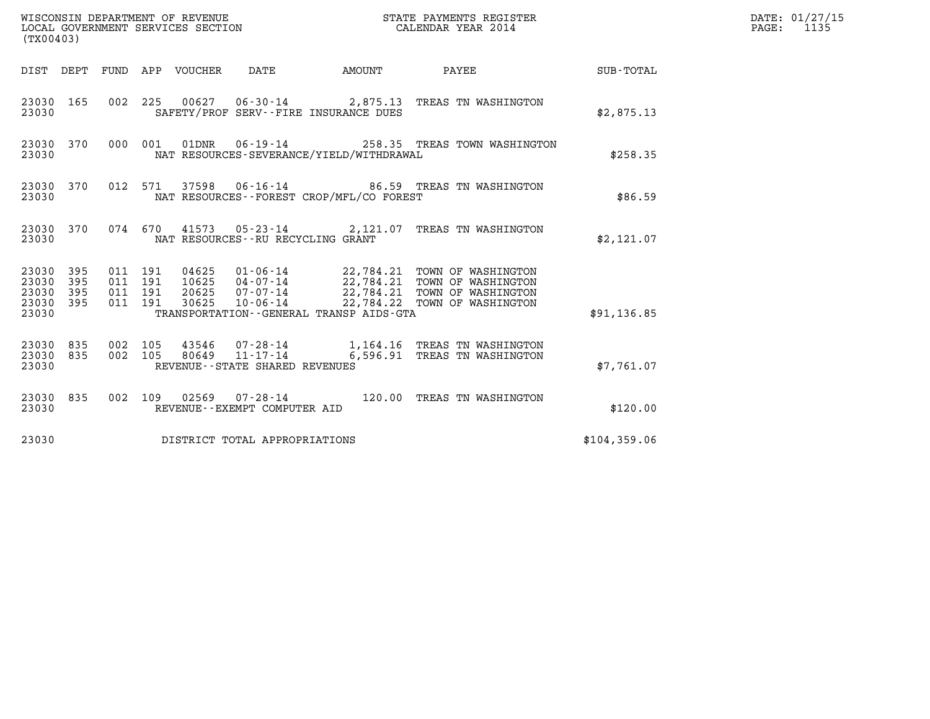| (TX00403)                                                       |                    |                                                                              | WISCONSIN DEPARTMENT OF REVENUE<br>LOCAL GOVERNMENT SERVICES SECTION  |                           | STATE PAYMENTS REGISTER<br>CALENDAR YEAR 2014                                                                                                  |              | DATE: 01/27/15<br>$\mathtt{PAGE}$ :<br>1135 |
|-----------------------------------------------------------------|--------------------|------------------------------------------------------------------------------|-----------------------------------------------------------------------|---------------------------|------------------------------------------------------------------------------------------------------------------------------------------------|--------------|---------------------------------------------|
|                                                                 |                    | DIST DEPT FUND APP VOUCHER                                                   | DATE                                                                  | <b>EXAMPLE THE AMOUNT</b> | PAYEE                                                                                                                                          | SUB-TOTAL    |                                             |
| 23030 165<br>23030                                              |                    |                                                                              | SAFETY/PROF SERV--FIRE INSURANCE DUES                                 |                           | 002 225 00627 06-30-14 2,875.13 TREAS TN WASHINGTON                                                                                            | \$2,875.13   |                                             |
| 23030 370<br>23030                                              |                    | 000 001<br>01DNR                                                             | $06 - 19 - 14$<br>NAT RESOURCES-SEVERANCE/YIELD/WITHDRAWAL            |                           | 258.35 TREAS TOWN WASHINGTON                                                                                                                   | \$258.35     |                                             |
| 23030 370<br>23030                                              |                    | 012 571                                                                      | NAT RESOURCES--FOREST CROP/MFL/CO FOREST                              |                           | 37598  06-16-14  86.59  TREAS TN WASHINGTON                                                                                                    | \$86.59      |                                             |
| 23030 370<br>23030                                              |                    |                                                                              | NAT RESOURCES - - RU RECYCLING GRANT                                  |                           | 074 670 41573 05-23-14 2,121.07 TREAS TN WASHINGTON                                                                                            | \$2,121.07   |                                             |
| 23030 395<br>23030<br>395<br>23030<br>395<br>23030 395<br>23030 |                    | 011 191<br>04625<br>011 191<br>10625<br>011 191<br>20625<br>011 191<br>30625 | 07-07-14<br>$10 - 06 - 14$<br>TRANSPORTATION--GENERAL TRANSP AIDS-GTA |                           | 01-06-14 22,784.21 TOWN OF WASHINGTON<br>04-07-14 22,784.21 TOWN OF WASHINGTON<br>22,784.21 TOWN OF WASHINGTON<br>22,784.22 TOWN OF WASHINGTON | \$91,136.85  |                                             |
| 23030 835<br>835<br>23030<br>23030                              | 002 105<br>002 105 | 43546<br>80649                                                               | 11-17-14<br>REVENUE--STATE SHARED REVENUES                            |                           | 6,596.91 TREAS TN WASHINGTON                                                                                                                   | \$7,761.07   |                                             |
| 23030 835<br>23030                                              |                    |                                                                              | 002 109 02569 07-28-14<br>REVENUE--EXEMPT COMPUTER AID                |                           | 120.00 TREAS TN WASHINGTON                                                                                                                     | \$120.00     |                                             |
| 23030                                                           |                    |                                                                              | DISTRICT TOTAL APPROPRIATIONS                                         |                           |                                                                                                                                                | \$104,359.06 |                                             |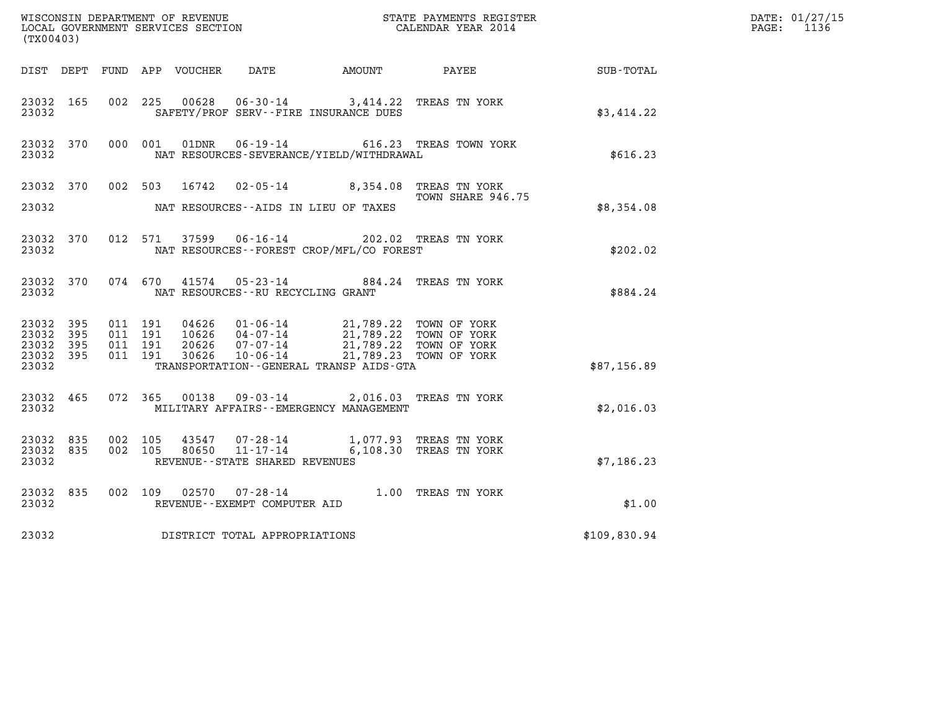| (TX00403)                       |           |                    |         |                |                                                              |                                                                                            |                                                  |                  | DATE: 01/27/15<br>$\mathtt{PAGE:}$<br>1136 |
|---------------------------------|-----------|--------------------|---------|----------------|--------------------------------------------------------------|--------------------------------------------------------------------------------------------|--------------------------------------------------|------------------|--------------------------------------------|
|                                 |           |                    |         |                |                                                              | DIST DEPT FUND APP VOUCHER DATE AMOUNT                                                     | PAYEE                                            | <b>SUB-TOTAL</b> |                                            |
| 23032 165<br>23032              |           |                    | 002 225 | 00628          |                                                              | 06-30-14 3,414.22 TREAS TN YORK<br>SAFETY/PROF SERV--FIRE INSURANCE DUES                   |                                                  | \$3,414.22       |                                            |
| 23032 370<br>23032              |           |                    | 000 001 | 01DNR          |                                                              | NAT RESOURCES-SEVERANCE/YIELD/WITHDRAWAL                                                   | 06-19-14 616.23 TREAS TOWN YORK                  | \$616.23         |                                            |
| 23032 370                       |           |                    |         | 002 503 16742  |                                                              | 02-05-14 8,354.08 TREAS TN YORK                                                            | TOWN SHARE 946.75                                |                  |                                            |
| 23032                           |           |                    |         |                |                                                              | NAT RESOURCES--AIDS IN LIEU OF TAXES                                                       |                                                  | \$8,354.08       |                                            |
| 23032 370<br>23032              |           |                    |         | 012 571 37599  |                                                              | 06-16-14 202.02 TREAS TN YORK<br>NAT RESOURCES--FOREST CROP/MFL/CO FOREST                  |                                                  | \$202.02         |                                            |
| 23032 370<br>23032              |           |                    | 074 670 | 41574          | NAT RESOURCES - - RU RECYCLING GRANT                         | 05-23-14 884.24 TREAS TN YORK                                                              |                                                  | \$884.24         |                                            |
| 23032 395<br>23032              | - 395     | 011 191<br>011 191 |         |                |                                                              | 04626  01-06-14  21,789.22  TOWN OF YORK<br>10626  04-07-14  21,789.22  TOWN OF YORK       |                                                  |                  |                                            |
| 23032 395<br>23032 395<br>23032 |           | 011 191            | 011 191 | 20626<br>30626 | $07 - 07 - 14$<br>10-06-14                                   | TRANSPORTATION--GENERAL TRANSP AIDS-GTA                                                    | 21,789.22 TOWN OF YORK<br>21,789.23 TOWN OF YORK | \$87,156.89      |                                            |
| 23032                           | 23032 465 |                    |         |                |                                                              | 072 365 00138 09-03-14 2,016.03 TREAS TN YORK<br>MILITARY AFFAIRS - - EMERGENCY MANAGEMENT |                                                  | \$2.016.03       |                                            |
| 23032 835<br>23032 835<br>23032 |           | 002 105<br>002 105 |         | 43547<br>80650 | $07 - 28 - 14$<br>11-17-14<br>REVENUE--STATE SHARED REVENUES |                                                                                            | 1,077.93 TREAS TN YORK<br>6,108.30 TREAS TN YORK | \$7,186.23       |                                            |
| 23032 835<br>23032              |           | 002 109            |         |                | REVENUE--EXEMPT COMPUTER AID                                 | 02570  07-28-14  1.00 TREAS TN YORK                                                        |                                                  | \$1.00           |                                            |
| 23032                           |           |                    |         |                | DISTRICT TOTAL APPROPRIATIONS                                |                                                                                            |                                                  | \$109,830.94     |                                            |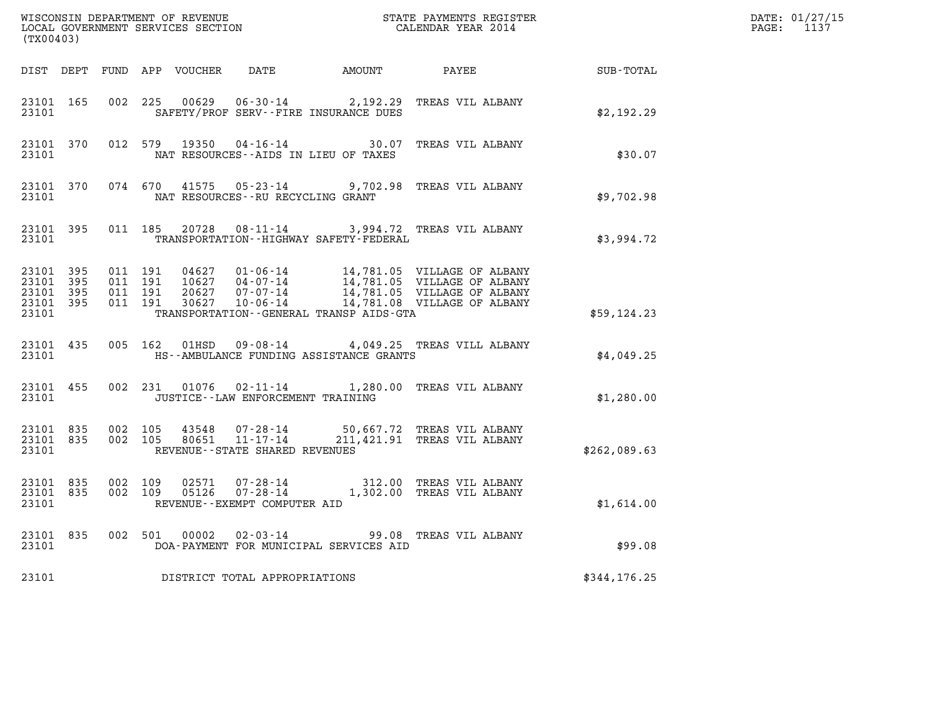| (TX00403)                                                 |                                 |         |                               |                                                 | ${\tt WISCONSIM\ DEPARTMENT\ OF\ REVENUE}\qquad \qquad {\tt STATE\ PAYMENTS\ REGISTER}\nonumber\\ {\tt LOCAL\ GOVERNMENT\ SERVICES\ SECTION}\qquad \qquad {\tt CALENDAR\ YEAR\ 2014}$                                          |              | DATE: 01/27/15<br>PAGE: 1137 |
|-----------------------------------------------------------|---------------------------------|---------|-------------------------------|-------------------------------------------------|--------------------------------------------------------------------------------------------------------------------------------------------------------------------------------------------------------------------------------|--------------|------------------------------|
|                                                           |                                 |         |                               |                                                 | DIST DEPT FUND APP VOUCHER DATE AMOUNT PAYEE PATE SUB-TOTAL                                                                                                                                                                    |              |                              |
|                                                           | 23101 165<br>23101              |         |                               | SAFETY/PROF SERV--FIRE INSURANCE DUES           | 002 225 00629 06-30-14 2,192.29 TREAS VIL ALBANY                                                                                                                                                                               | \$2,192.29   |                              |
|                                                           | 23101                           |         |                               | NAT RESOURCES--AIDS IN LIEU OF TAXES            | 23101 370 012 579 19350 04-16-14 30.07 TREAS VIL ALBANY                                                                                                                                                                        | \$30.07      |                              |
|                                                           | 23101                           |         |                               | NAT RESOURCES--RU RECYCLING GRANT               | 23101 370 074 670 41575 05-23-14 9,702.98 TREAS VIL ALBANY                                                                                                                                                                     | \$9,702.98   |                              |
|                                                           |                                 |         |                               | 23101 TRANSPORTATION - HIGHWAY SAFETY - FEDERAL | 23101 395 011 185 20728 08-11-14 3,994.72 TREAS VIL ALBANY                                                                                                                                                                     | \$3,994.72   |                              |
| 23101 395<br>23101 395<br>23101 395<br>23101 395<br>23101 |                                 | 011 191 | 011 191<br>011 191<br>011 191 | TRANSPORTATION--GENERAL TRANSP AIDS-GTA         |                                                                                                                                                                                                                                | \$59,124.23  |                              |
|                                                           | 23101 435<br>23101              |         |                               | HS--AMBULANCE FUNDING ASSISTANCE GRANTS         | 005 162 01HSD 09-08-14 4,049.25 TREAS VILL ALBANY                                                                                                                                                                              | \$4,049.25   |                              |
|                                                           | 23101 455<br>23101              |         |                               | JUSTICE -- LAW ENFORCEMENT TRAINING             | 002 231 01076 02-11-14 1,280.00 TREAS VIL ALBANY                                                                                                                                                                               | \$1,280.00   |                              |
| 23101                                                     | 23101 835 002 105<br>23101 835  |         | 002 105                       | REVENUE--STATE SHARED REVENUES                  | 43548  07-28-14  50,667.72  TREAS  VIL ALBANY<br>80651  11-17-14  211,421.91  TREAS  VIL ALBANY                                                                                                                                | \$262,089.63 |                              |
|                                                           | 23101 835<br>23101 835<br>23101 |         |                               | REVENUE--EXEMPT COMPUTER AID                    | $\begin{array}{cccc} 002 & 109 & 02571 & 07\texttt{-}28\texttt{-}14 & 312.00 & \texttt{TREAS} \text{ VIL ALBANY} \\ 002 & 109 & 05126 & 07\texttt{-}28\texttt{-}14 & 1,302.00 & \texttt{TREAS} \text{ VIL ALBANY} \end{array}$ | \$1,614.00   |                              |
|                                                           |                                 |         |                               | 23101 DOA-PAYMENT FOR MUNICIPAL SERVICES AID    | 23101 835 002 501 00002 02-03-14 99.08 TREAS VIL ALBANY                                                                                                                                                                        | \$99.08      |                              |
|                                                           |                                 |         |                               | 23101 DISTRICT TOTAL APPROPRIATIONS             |                                                                                                                                                                                                                                | \$344,176.25 |                              |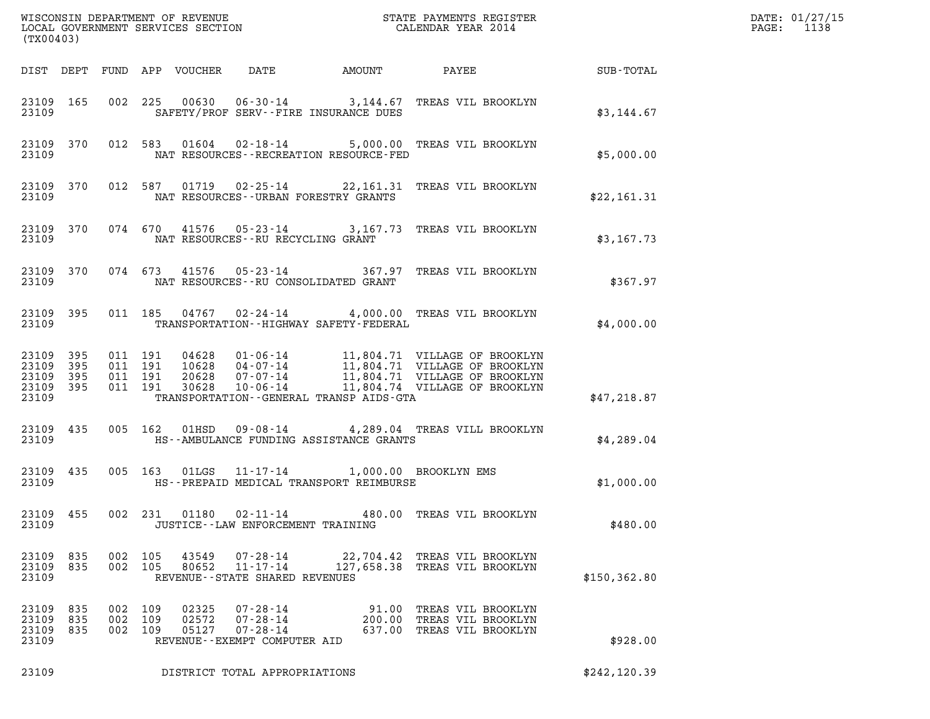| (TX00403)                                     |                   |                   |                            |                         |                                                                                    |                                                                                         |                                                                             |               | DATE: 01/27/15<br>$\mathtt{PAGE}$ :<br>1138 |
|-----------------------------------------------|-------------------|-------------------|----------------------------|-------------------------|------------------------------------------------------------------------------------|-----------------------------------------------------------------------------------------|-----------------------------------------------------------------------------|---------------|---------------------------------------------|
|                                               |                   |                   | DIST DEPT FUND APP VOUCHER |                         | DATE                                                                               | AMOUNT                                                                                  | <b>PAYEE</b> FOUND THE PAYEE                                                | SUB-TOTAL     |                                             |
| 23109                                         | 23109 165         |                   | 002 225                    |                         |                                                                                    | SAFETY/PROF SERV--FIRE INSURANCE DUES                                                   | 00630  06-30-14  3,144.67  TREAS VIL BROOKLYN                               | \$3,144.67    |                                             |
| 23109                                         | 23109 370         |                   |                            |                         |                                                                                    | NAT RESOURCES - - RECREATION RESOURCE - FED                                             | 012 583 01604 02-18-14 5,000.00 TREAS VIL BROOKLYN                          | \$5,000.00    |                                             |
| 23109<br>23109                                | 370               |                   |                            |                         |                                                                                    | NAT RESOURCES--URBAN FORESTRY GRANTS                                                    | 012 587 01719 02-25-14 22,161.31 TREAS VIL BROOKLYN                         | \$22,161.31   |                                             |
| 23109                                         | 23109 370         |                   |                            |                         |                                                                                    | NAT RESOURCES--RU RECYCLING GRANT                                                       | 074 670 41576 05-23-14 3,167.73 TREAS VIL BROOKLYN                          | \$3,167.73    |                                             |
| 23109                                         | 23109 370         |                   |                            |                         |                                                                                    | NAT RESOURCES--RU CONSOLIDATED GRANT                                                    | 074 673 41576 05-23-14 367.97 TREAS VIL BROOKLYN                            | \$367.97      |                                             |
| 23109<br>23109                                | 395               |                   |                            |                         |                                                                                    | TRANSPORTATION - - HIGHWAY SAFETY - FEDERAL                                             | 011 185 04767 02-24-14 4,000.00 TREAS VIL BROOKLYN                          | \$4,000.00    |                                             |
| 23109<br>23109<br>23109<br>23109 395<br>23109 | 395<br>395<br>395 |                   |                            |                         |                                                                                    | TRANSPORTATION--GENERAL TRANSP AIDS-GTA                                                 |                                                                             | \$47,218.87   |                                             |
| 23109<br>23109                                | 435               |                   |                            |                         |                                                                                    | HS--AMBULANCE FUNDING ASSISTANCE GRANTS                                                 | 005 162 01HSD 09-08-14 4,289.04 TREAS VILL BROOKLYN                         | \$4,289.04    |                                             |
| 23109<br>23109                                | 435               |                   |                            |                         |                                                                                    | 005 163 01LGS 11-17-14 1,000.00 BROOKLYN EMS<br>HS--PREPAID MEDICAL TRANSPORT REIMBURSE |                                                                             | \$1,000.00    |                                             |
| 23109<br>23109                                | 455               |                   | 002 231                    |                         | $01180$ $02 - 11 - 14$                                                             | 480.00<br>JUSTICE - - LAW ENFORCEMENT TRAINING                                          | TREAS VIL BROOKLYN                                                          | \$480.00      |                                             |
| 23109<br>23109<br>23109                       | 835<br>835        | 002<br>002        | 105<br>105                 | 43549<br>80652          | $07 - 28 - 14$<br>$11 - 17 - 14$<br>REVENUE - - STATE SHARED REVENUES              |                                                                                         | 22,704.42 TREAS VIL BROOKLYN<br>127,658.38 TREAS VIL BROOKLYN               | \$150, 362.80 |                                             |
| 23109<br>23109<br>23109<br>23109              | 835<br>835<br>835 | 002<br>002<br>002 | 109<br>109<br>109          | 02325<br>02572<br>05127 | $07 - 28 - 14$<br>$07 - 28 - 14$<br>$07 - 28 - 14$<br>REVENUE--EXEMPT COMPUTER AID | 200.00                                                                                  | 91.00 TREAS VIL BROOKLYN<br>TREAS VIL BROOKLYN<br>637.00 TREAS VIL BROOKLYN | \$928.00      |                                             |
| 23109                                         |                   |                   |                            |                         | DISTRICT TOTAL APPROPRIATIONS                                                      |                                                                                         |                                                                             | \$242, 120.39 |                                             |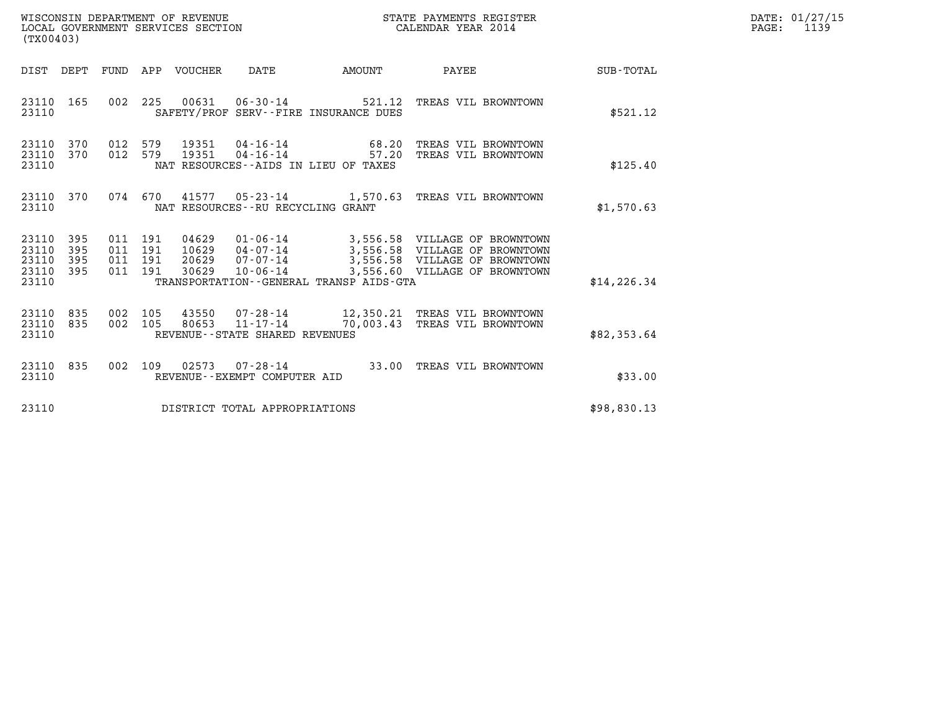| WISCONSIN DEPARTMENT OF REVENUE   | STATE PAYMENTS REGISTER | DATE: 01/27/15 |
|-----------------------------------|-------------------------|----------------|
| LOCAL GOVERNMENT SERVICES SECTION | CALENDAR YEAR 2014      | 1139<br>PAGE:  |

| (TX00403)                                                             |                          |                                                                                                                                                               |                |                                                                                                                                  |                  |
|-----------------------------------------------------------------------|--------------------------|---------------------------------------------------------------------------------------------------------------------------------------------------------------|----------------|----------------------------------------------------------------------------------------------------------------------------------|------------------|
| DIST<br>DEPT                                                          | FUND                     | APP<br>VOUCHER<br>DATE                                                                                                                                        | AMOUNT         | PAYEE                                                                                                                            | <b>SUB-TOTAL</b> |
| 23110<br>165<br>23110                                                 | 002                      | 00631<br>225<br>06-30-14<br>SAFETY/PROF SERV--FIRE INSURANCE DUES                                                                                             | 521.12         | TREAS VIL BROWNTOWN                                                                                                              | \$521.12         |
| 370<br>23110<br>23110<br>370<br>23110                                 | 012<br>012               | 579<br>19351<br>$04 - 16 - 14$<br>579<br>19351<br>$04 - 16 - 14$<br>NAT RESOURCES -- AIDS IN LIEU OF TAXES                                                    | 68.20<br>57.20 | TREAS VIL BROWNTOWN<br>TREAS VIL BROWNTOWN                                                                                       | \$125.40         |
| 23110<br>370<br>23110                                                 | 074                      | 670<br>41577<br>NAT RESOURCES - - RU RECYCLING GRANT                                                                                                          |                | 05-23-14 1,570.63 TREAS VIL BROWNTOWN                                                                                            | \$1,570.63       |
| 23110<br>395<br>23110<br>395<br>23110<br>395<br>23110<br>395<br>23110 | 011<br>011<br>011<br>011 | 191<br>04629<br>01-06-14<br>191<br>10629<br>04-07-14<br>$07 - 07 - 14$<br>191<br>20629<br>191<br>30629<br>10-06-14<br>TRANSPORTATION--GENERAL TRANSP AIDS-GTA |                | 3,556.58 VILLAGE OF BROWNTOWN<br>3,556.58 VILLAGE OF BROWNTOWN<br>3,556.58 VILLAGE OF BROWNTOWN<br>3,556.60 VILLAGE OF BROWNTOWN | \$14, 226.34     |
| 835<br>23110<br>23110<br>835<br>23110                                 | 002<br>002               | 105<br>43550<br>07-28-14<br>105<br>80653<br>11-17-14<br>REVENUE - - STATE SHARED REVENUES                                                                     | 70,003.43      | 12,350.21 TREAS VIL BROWNTOWN<br>TREAS VIL BROWNTOWN                                                                             | \$82,353.64      |
| 23110<br>835<br>23110                                                 | 002                      | 109<br>02573<br>$07 - 28 - 14$<br>REVENUE - - EXEMPT COMPUTER AID                                                                                             | 33.00          | TREAS VIL BROWNTOWN                                                                                                              | \$33.00          |
| 23110                                                                 |                          | DISTRICT TOTAL APPROPRIATIONS                                                                                                                                 |                |                                                                                                                                  | \$98,830.13      |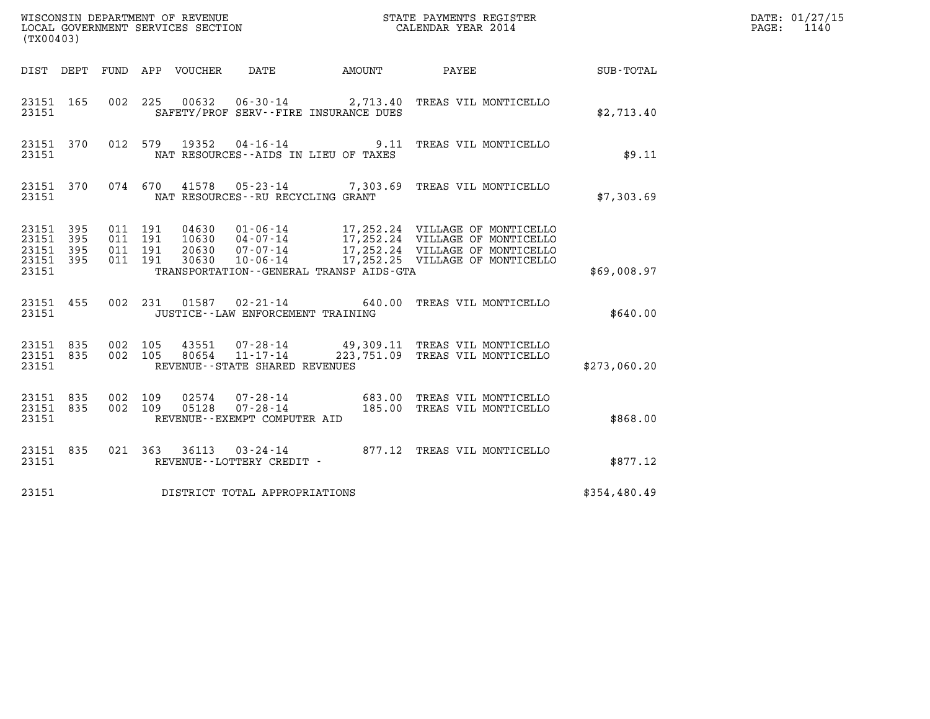| (TX00403)                                             |     |                    |                                      |                                                                | WISCONSIN DEPARTMENT OF REVENUE                               STATE PAYMENTS REGISTER LOCAL GOVERNMENT SERVICES SECTION                                 CALENDAR YEAR 2014                           |              | DATE: 01/27/15<br>1140<br>$\mathtt{PAGE}$ : |
|-------------------------------------------------------|-----|--------------------|--------------------------------------|----------------------------------------------------------------|------------------------------------------------------------------------------------------------------------------------------------------------------------------------------------------------------|--------------|---------------------------------------------|
|                                                       |     |                    | DIST DEPT FUND APP VOUCHER           | DATE                                                           | AMOUNT PAYEE                                                                                                                                                                                         | SUB-TOTAL    |                                             |
| 23151 165<br>23151                                    |     |                    |                                      | SAFETY/PROF SERV--FIRE INSURANCE DUES                          | 002 225 00632 06-30-14 2,713.40 TREAS VIL MONTICELLO                                                                                                                                                 | \$2,713.40   |                                             |
| 23151 370<br>23151                                    |     |                    | 012 579                              | NAT RESOURCES--AIDS IN LIEU OF TAXES                           | 19352  04-16-14  9.11  TREAS VIL MONTICELLO                                                                                                                                                          | \$9.11       |                                             |
| 23151 370<br>23151                                    |     |                    | 074 670                              | NAT RESOURCES--RU RECYCLING GRANT                              | 41578  05-23-14  7,303.69  TREAS VIL MONTICELLO                                                                                                                                                      | \$7,303.69   |                                             |
| 23151 395<br>23151 395<br>23151<br>23151 395<br>23151 | 395 | 011 191<br>011 191 | 011 191<br>011 191                   | TRANSPORTATION--GENERAL TRANSP AIDS-GTA                        | 04630 01-06-14 17,252.24 VILLAGE OF MONTICELLO<br>10630 04-07-14 17,252.24 VILLAGE OF MONTICELLO<br>20630 07-07-14 17,252.24 VILLAGE OF MONTICELLO<br>30630 10-06-14 17,252.25 VILLAGE OF MONTICELLO | \$69,008.97  |                                             |
| 23151 455<br>23151                                    |     |                    |                                      | 002 231 01587 02-21-14<br>JUSTICE - - LAW ENFORCEMENT TRAINING | 640.00 TREAS VIL MONTICELLO                                                                                                                                                                          | \$640.00     |                                             |
| 23151 835<br>23151 835<br>23151                       |     |                    | 002 105<br>43551<br>002 105<br>80654 | $11 - 17 - 14$<br>REVENUE - - STATE SHARED REVENUES            | 07-28-14 49,309.11 TREAS VIL MONTICELLO<br>223,751.09 TREAS VIL MONTICELLO                                                                                                                           | \$273,060.20 |                                             |
| 23151 835<br>23151 835<br>23151                       |     |                    | 002 109<br>02574<br>002 109<br>05128 | REVENUE--EXEMPT COMPUTER AID                                   | 07-28-14 683.00 TREAS VIL MONTICELLO<br>07-28-14 185.00 TREAS VIL MONTICELLO                                                                                                                         | \$868.00     |                                             |
| 23151 835<br>23151                                    |     |                    |                                      | REVENUE--LOTTERY CREDIT -                                      | 021 363 36113 03-24-14 877.12 TREAS VIL MONTICELLO                                                                                                                                                   | \$877.12     |                                             |
| 23151                                                 |     |                    |                                      | DISTRICT TOTAL APPROPRIATIONS                                  |                                                                                                                                                                                                      | \$354,480.49 |                                             |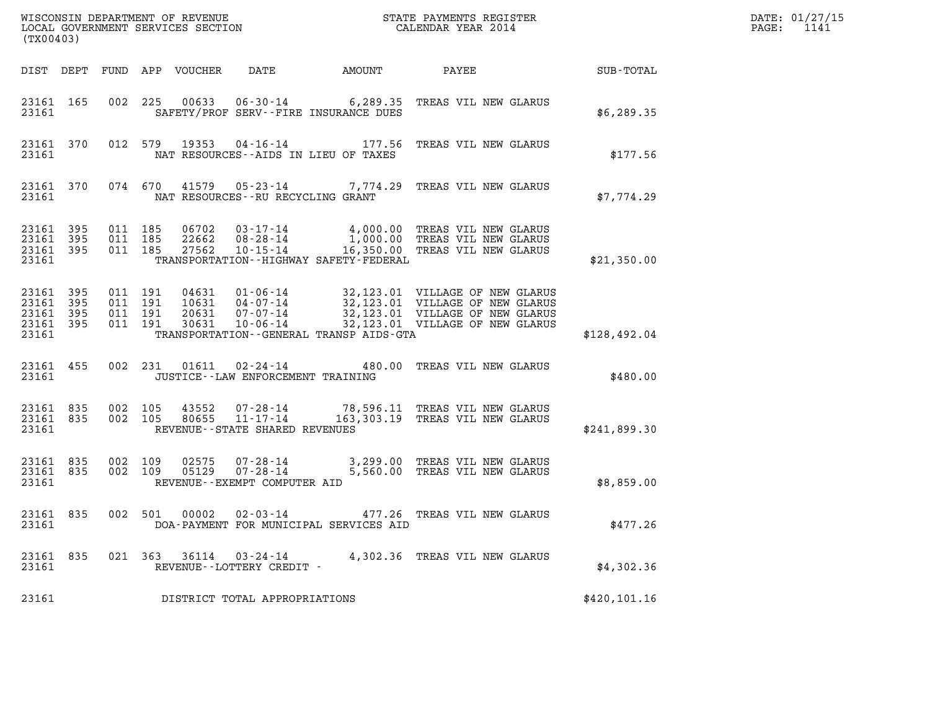| (TX00403)                                             |     |                                          |                                 |                                                     |                                             |                                                                                                  |               | DATE: 01/27/15<br>$\mathtt{PAGE:}$<br>1141 |
|-------------------------------------------------------|-----|------------------------------------------|---------------------------------|-----------------------------------------------------|---------------------------------------------|--------------------------------------------------------------------------------------------------|---------------|--------------------------------------------|
|                                                       |     |                                          | DIST DEPT FUND APP VOUCHER DATE |                                                     |                                             | AMOUNT PAYEE SUB-TOTAL                                                                           |               |                                            |
| 23161 165<br>23161                                    |     |                                          |                                 |                                                     | SAFETY/PROF SERV--FIRE INSURANCE DUES       | 002 225 00633 06-30-14 6,289.35 TREAS VIL NEW GLARUS                                             | \$6,289.35    |                                            |
| 23161                                                 |     |                                          |                                 | NAT RESOURCES--AIDS IN LIEU OF TAXES                |                                             | 23161 370 012 579 19353 04-16-14 177.56 TREAS VIL NEW GLARUS                                     | \$177.56      |                                            |
| 23161                                                 |     |                                          |                                 | NAT RESOURCES--RU RECYCLING GRANT                   |                                             | 23161 370 074 670 41579 05-23-14 7,774.29 TREAS VIL NEW GLARUS                                   | \$7,774.29    |                                            |
| 23161 395<br>23161 395<br>23161 395<br>23161          |     | 011 185<br>011 185<br>011 185            |                                 |                                                     | TRANSPORTATION - - HIGHWAY SAFETY - FEDERAL |                                                                                                  | \$21,350.00   |                                            |
| 23161 395<br>23161<br>23161 395<br>23161 395<br>23161 | 395 | 011 191<br>011 191<br>011 191<br>011 191 |                                 |                                                     | TRANSPORTATION--GENERAL TRANSP AIDS-GTA     |                                                                                                  | \$128,492.04  |                                            |
| 23161 455<br>23161                                    |     |                                          |                                 | JUSTICE--LAW ENFORCEMENT TRAINING                   |                                             | 002 231 01611 02-24-14 480.00 TREAS VIL NEW GLARUS                                               | \$480.00      |                                            |
| 23161 835<br>23161 835<br>23161                       |     | 002 105<br>002 105                       | 43552<br>80655                  | REVENUE--STATE SHARED REVENUES                      |                                             | 07-28-14 78,596.11 TREAS VIL NEW GLARUS<br>11-17-14 163,303.19 TREAS VIL NEW GLARUS              | \$241,899.30  |                                            |
| 23161 835<br>23161 835<br>23161                       |     | 002 109<br>002 109                       |                                 | REVENUE--EXEMPT COMPUTER AID                        |                                             | 02575  07-28-14  3,299.00 TREAS VIL NEW GLARUS<br>05129  07-28-14  5,560.00 TREAS VIL NEW GLARUS | \$8,859.00    |                                            |
| 23161 835<br>23161                                    |     | 002 501                                  | 00002                           | $02 - 03 - 14$                                      | DOA-PAYMENT FOR MUNICIPAL SERVICES AID      | 477.26 TREAS VIL NEW GLARUS                                                                      | \$477.26      |                                            |
| 23161 835<br>23161                                    |     |                                          |                                 | 021 363 36114 03-24-14<br>REVENUE--LOTTERY CREDIT - |                                             | 4,302.36 TREAS VIL NEW GLARUS                                                                    | \$4,302.36    |                                            |
| 23161                                                 |     |                                          |                                 | DISTRICT TOTAL APPROPRIATIONS                       |                                             |                                                                                                  | \$420, 101.16 |                                            |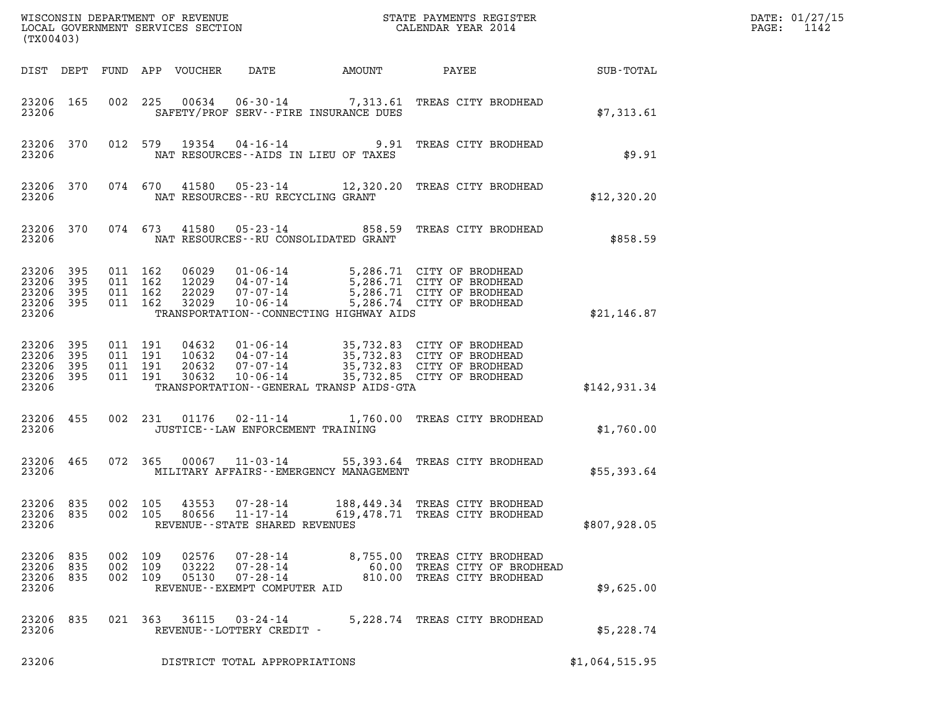| (TX00403)                                         |             |                               |                               |                                  |                                                                               |        |                                            |                                                                                                                                                                          |                | DATE: 01/27/15<br>$\mathtt{PAGE}$ :<br>1142 |
|---------------------------------------------------|-------------|-------------------------------|-------------------------------|----------------------------------|-------------------------------------------------------------------------------|--------|--------------------------------------------|--------------------------------------------------------------------------------------------------------------------------------------------------------------------------|----------------|---------------------------------------------|
|                                                   |             |                               |                               | DIST DEPT FUND APP VOUCHER       | DATE                                                                          | AMOUNT |                                            | PAYEE SUB-TOTAL                                                                                                                                                          |                |                                             |
| 23206 165<br>23206                                |             |                               |                               |                                  | SAFETY/PROF SERV--FIRE INSURANCE DUES                                         |        |                                            | 002 225 00634 06-30-14 7,313.61 TREAS CITY BRODHEAD                                                                                                                      | \$7,313.61     |                                             |
| 23206 370<br>23206                                |             |                               |                               |                                  | NAT RESOURCES--AIDS IN LIEU OF TAXES                                          |        |                                            | 012 579 19354 04-16-14 9.91 TREAS CITY BRODHEAD                                                                                                                          | \$9.91         |                                             |
| 23206 370<br>23206                                |             |                               |                               | 074 670 41580                    | NAT RESOURCES--RU RECYCLING GRANT                                             |        |                                            | 05-23-14 12,320.20 TREAS CITY BRODHEAD                                                                                                                                   | \$12,320.20    |                                             |
| 23206 370<br>23206                                |             |                               | 074 673                       | 41580                            | NAT RESOURCES - - RU CONSOLIDATED GRANT                                       |        |                                            | 05-23-14 858.59 TREAS CITY BRODHEAD                                                                                                                                      | \$858.59       |                                             |
| 23206 395<br>23206<br>23206<br>23206 395<br>23206 | 395<br>395  | 011 162<br>011 162<br>011 162 | 011 162                       | 06029<br>12029<br>22029<br>32029 | 07-07-14<br>10-06-14                                                          |        | TRANSPORTATION - - CONNECTING HIGHWAY AIDS | 01-06-14 5,286.71 CITY OF BRODHEAD<br>04-07-14 5,286.71 CITY OF BRODHEAD<br>07-07-14 5,286.71 CITY OF BRODHEAD<br>5,286.71 CITY OF BRODHEAD<br>5,286.74 CITY OF BRODHEAD | \$21,146.87    |                                             |
| 23206 395<br>23206<br>23206<br>23206 395<br>23206 | 395<br>-395 | 011 191                       | 011 191<br>011 191<br>011 191 | 04632<br>10632<br>20632<br>30632 | 07-07-14<br>10-06-14                                                          |        | TRANSPORTATION - - GENERAL TRANSP AIDS-GTA | 01-06-14 35,732.83 CITY OF BRODHEAD<br>04-07-14 35,732.83 CITY OF BRODHEAD<br>35,732.83 CITY OF BRODHEAD<br>35,732.85 CITY OF BRODHEAD                                   | \$142,931.34   |                                             |
| 23206 455<br>23206                                |             |                               |                               |                                  | JUSTICE -- LAW ENFORCEMENT TRAINING                                           |        |                                            | 002 231 01176 02-11-14 1,760.00 TREAS CITY BRODHEAD                                                                                                                      | \$1,760.00     |                                             |
| 23206 465<br>23206                                |             |                               |                               |                                  |                                                                               |        | MILITARY AFFAIRS - - EMERGENCY MANAGEMENT  | 072  365  00067  11-03-14  55,393.64  TREAS CITY BRODHEAD                                                                                                                | \$55,393.64    |                                             |
| 23206 835<br>23206                                | 23206 835   | 002 105                       |                               |                                  | 002 105 43553 07-28-14<br>80656 11-17-14<br>REVENUE - - STATE SHARED REVENUES |        |                                            | 188,449.34 TREAS CITY BRODHEAD<br>619,478.71 TREAS CITY BRODHEAD                                                                                                         | \$807,928.05   |                                             |
| 23206 835<br>23206 835<br>23206 835<br>23206      |             | 002 109<br>002 109<br>002 109 |                               | 02576<br>03222<br>05130          | $07 - 28 - 14$<br>$07 - 28 - 14$<br>REVENUE--EXEMPT COMPUTER AID              |        |                                            | 07-28-14 8,755.00 TREAS CITY BRODHEAD<br>60.00 TREAS CITY OF BRODHEAD<br>810.00 TREAS CITY BRODHEAD                                                                      | \$9,625.00     |                                             |
| 23206 835<br>23206                                |             |                               |                               |                                  | REVENUE--LOTTERY CREDIT -                                                     |        |                                            | 021  363  36115  03-24-14  5,228.74  TREAS CITY BRODHEAD                                                                                                                 | \$5,228.74     |                                             |
| 23206                                             |             |                               |                               |                                  | DISTRICT TOTAL APPROPRIATIONS                                                 |        |                                            |                                                                                                                                                                          | \$1,064,515.95 |                                             |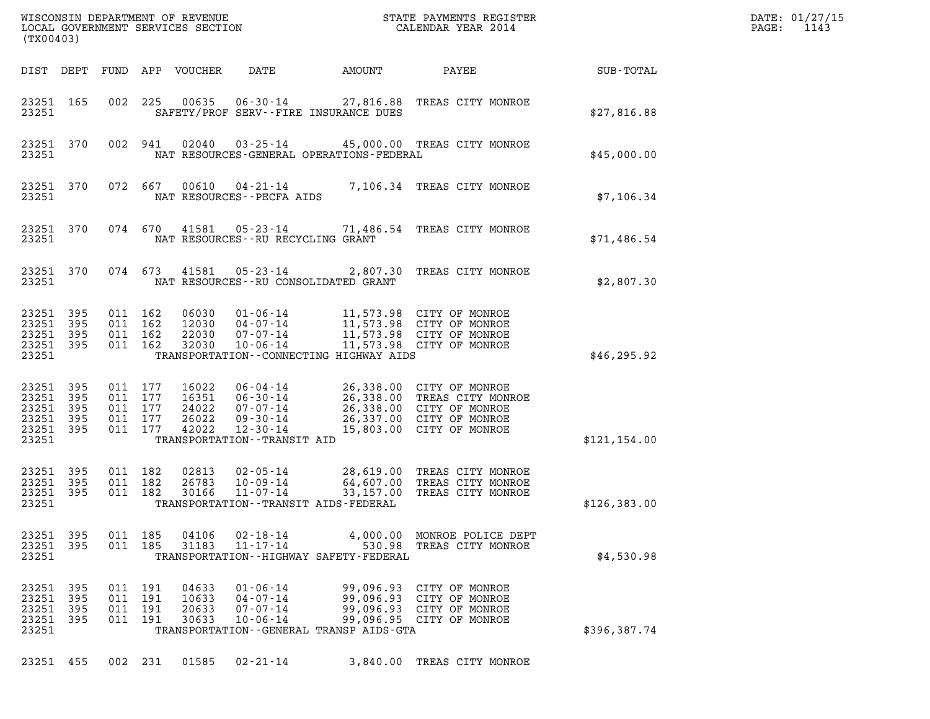| (TX00403)                                                                                                                                                                                                                                                                                                                                                                                                      | DATE: 01/27/15<br>1143<br>$\mathtt{PAGE:}$ |
|----------------------------------------------------------------------------------------------------------------------------------------------------------------------------------------------------------------------------------------------------------------------------------------------------------------------------------------------------------------------------------------------------------------|--------------------------------------------|
| DATE<br>DIST DEPT<br>FUND APP VOUCHER<br>AMOUNT<br>PAYEE                                                                                                                                                                                                                                                                                                                                                       | SUB-TOTAL                                  |
| 002 225 00635 06-30-14 27,816.88 TREAS CITY MONROE<br>23251 165<br>23251<br>SAFETY/PROF SERV--FIRE INSURANCE DUES                                                                                                                                                                                                                                                                                              | \$27,816.88                                |
| 23251 370<br>002 941<br>02040<br>03-25-14 45,000.00 TREAS CITY MONROE<br>23251<br>NAT RESOURCES-GENERAL OPERATIONS-FEDERAL                                                                                                                                                                                                                                                                                     | \$45,000.00                                |
| 23251 370<br>072 667 00610 04-21-14 7,106.34 TREAS CITY MONROE<br>23251<br>NAT RESOURCES--PECFA AIDS                                                                                                                                                                                                                                                                                                           | \$7,106.34                                 |
| 23251 370<br>074 670 41581 05-23-14 71,486.54 TREAS CITY MONROE<br>23251<br>NAT RESOURCES--RU RECYCLING GRANT                                                                                                                                                                                                                                                                                                  | \$71,486.54                                |
| 23251 370<br>074 673 41581 05-23-14 2,807.30 TREAS CITY MONROE<br>23251<br>NAT RESOURCES--RU CONSOLIDATED GRANT                                                                                                                                                                                                                                                                                                | \$2,807.30                                 |
| 23251 395<br>011 162<br>06030<br>01-06-14 11,573.98 CITY OF MONROE<br>23251<br>11,573.98 CITY OF MONROE<br>11,573.98 CITY OF MONROE<br>395<br>011 162<br>12030<br>04-07-14<br>23251 395<br>011 162<br>22030<br>07-07-14<br>11,573.98 CITY OF MONROE<br>23251 395<br>011 162<br>32030<br>$10 - 06 - 14$<br>23251<br>TRANSPORTATION--CONNECTING HIGHWAY AIDS                                                     | \$46, 295.92                               |
| 23251 395<br>011 177<br>16022<br>06-04-14 26,338.00 CITY OF MONROE<br>06-30-14 26,338.00 TREAS CITY MONROE<br>07-07-14 26,338.00 CITY OF MONROE<br>09-30-14 26,337.00 CITY OF MONROE<br>23251 395<br>011 177<br>16351<br>23251<br>395<br>011 177<br>24022<br>23251 395<br>011 177<br>26022<br>15,803.00 CITY OF MONROE<br>011 177<br>42022<br>23251 395<br>12-30-14<br>23251<br>TRANSPORTATION - - TRANSIT AID | \$121,154.00                               |
| 23251 395<br>011 182<br>02813<br>$02 - 05 - 14$<br>28,619.00 TREAS CITY MONROE<br>64,607.00 TREAS CITY MONROE<br>33,157.00 TREAS CITY MONROE<br>23251 395<br>011 182<br>26783<br>10-09-14<br>23251 395<br>011 182<br>30166<br>11-07-14<br>23251<br>TRANSPORTATION - - TRANSIT AIDS - FEDERAL                                                                                                                   | \$126, 383.00                              |
| 011 185<br>04106<br>4,000.00 MONROE POLICE DEPT<br>23251 395<br>02-18-14<br>23251 395<br>011 185<br>31183<br>$11 - 17 - 14$<br>530.98 TREAS CITY MONROE<br>23251<br>TRANSPORTATION--HIGHWAY SAFETY-FEDERAL                                                                                                                                                                                                     | \$4,530.98                                 |
| 23251 395<br>011 191<br>04633<br>$01 - 06 - 14$<br>99,096.93 CITY OF MONROE<br>23251<br>- 395<br>011 191<br>10633<br>$04 - 07 - 14$<br>99,096.93 CITY OF MONROE<br>23251<br>395<br>191<br>20633<br>99,096.93 CITY OF MONROE<br>011<br>$07 - 07 - 14$<br>23251 395<br>011 191<br>30633<br>$10 - 06 - 14$<br>99,096.95 CITY OF MONROE<br>23251<br>TRANSPORTATION - - GENERAL TRANSP AIDS - GTA                   | \$396,387.74                               |
| 23251 455<br>002 231 01585 02-21-14<br>3,840.00 TREAS CITY MONROE                                                                                                                                                                                                                                                                                                                                              |                                            |